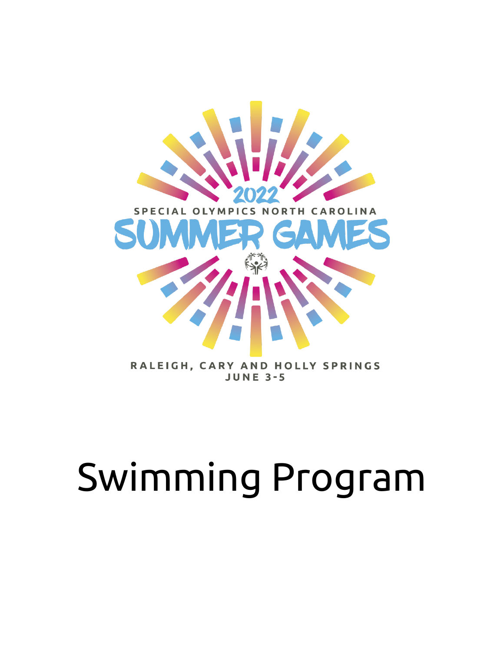

# Swimming Program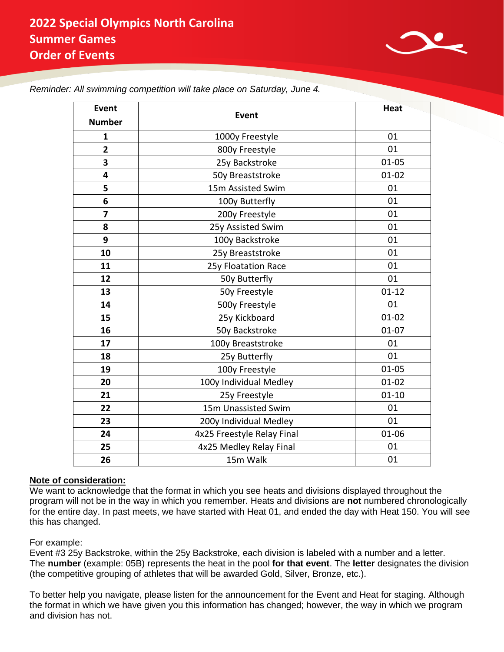

| <b>Event</b>   |                            | <b>Heat</b> |
|----------------|----------------------------|-------------|
| <b>Number</b>  | <b>Event</b>               |             |
| 1              | 1000y Freestyle            | 01          |
| $\overline{2}$ | 800y Freestyle             | 01          |
| 3              | 25y Backstroke             | $01 - 05$   |
| 4              | 50y Breaststroke           | $01 - 02$   |
| 5              | 15m Assisted Swim          | 01          |
| 6              | 100y Butterfly             | 01          |
| $\overline{7}$ | 200y Freestyle             | 01          |
| 8              | 25y Assisted Swim          | 01          |
| 9              | 100y Backstroke            | 01          |
| 10             | 25y Breaststroke           | 01          |
| 11             | 25y Floatation Race        | 01          |
| 12             | 50y Butterfly              | 01          |
| 13             | 50y Freestyle              | $01 - 12$   |
| 14             | 500y Freestyle             | 01          |
| 15             | 25y Kickboard              | $01 - 02$   |
| 16             | 50y Backstroke             | $01 - 07$   |
| 17             | 100y Breaststroke          | 01          |
| 18             | 25y Butterfly              | 01          |
| 19             | 100y Freestyle             | $01 - 05$   |
| 20             | 100y Individual Medley     | $01 - 02$   |
| 21             | 25y Freestyle              | $01 - 10$   |
| 22             | 15m Unassisted Swim        | 01          |
| 23             | 200y Individual Medley     | 01          |
| 24             | 4x25 Freestyle Relay Final | $01 - 06$   |
| 25             | 4x25 Medley Relay Final    | 01          |
| 26             | 15m Walk                   | 01          |

*Reminder: All swimming competition will take place on Saturday, June 4.*

#### **Note of consideration:**

We want to acknowledge that the format in which you see heats and divisions displayed throughout the program will not be in the way in which you remember. Heats and divisions are **not** numbered chronologically for the entire day. In past meets, we have started with Heat 01, and ended the day with Heat 150. You will see this has changed.

#### For example:

Event #3 25y Backstroke, within the 25y Backstroke, each division is labeled with a number and a letter. The **number** (example: 05B) represents the heat in the pool **for that event**. The **letter** designates the division (the competitive grouping of athletes that will be awarded Gold, Silver, Bronze, etc.).

To better help you navigate, please listen for the announcement for the Event and Heat for staging. Although the format in which we have given you this information has changed; however, the way in which we program and division has not.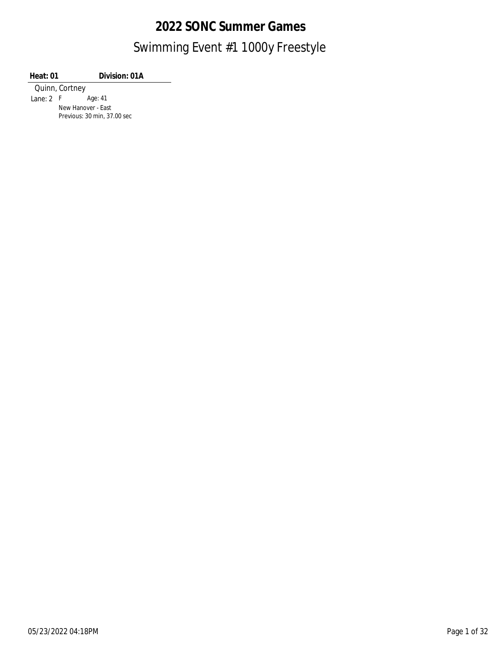**Heat: 01 Division: 01A**

Quinn, Cortney Lane: 2 F Age: 41 New Hanover - East Previous: 30 min, 37.00 sec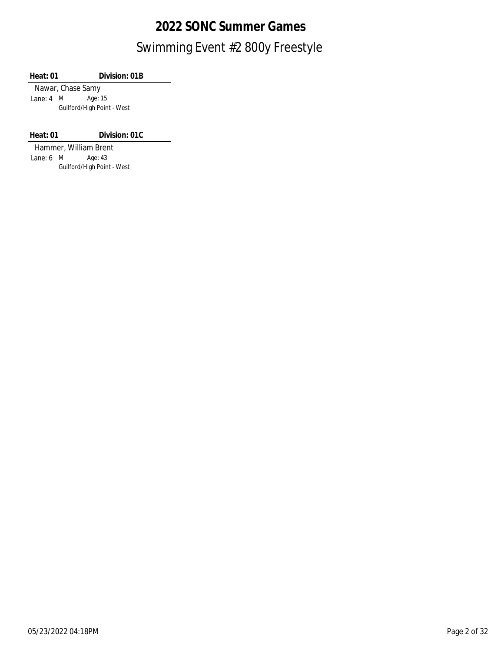**Heat: 01 Division: 01B**

Nawar, Chase Samy Lane: 4 Age: 15 M Guilford/High Point - West

**Heat: 01 Division: 01C**

Hammer, William Brent<br>
ane: 6 M Age: 43 Lane: 6 Age: 43 M Guilford/High Point - West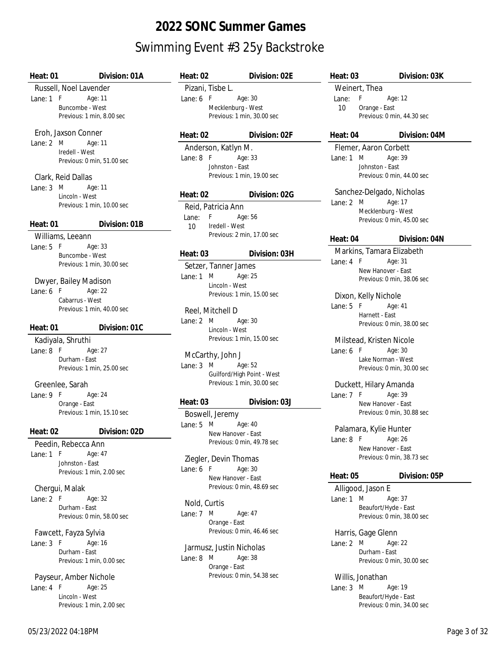## Swimming Event #3 25y Backstroke **2022 SONC Summer Games**

| Heat: 01          | Division: 01A                                 | Heat: 02       |                     |                                                          | Division: 02E | Heat: 03       |                          | Division: 03K              |
|-------------------|-----------------------------------------------|----------------|---------------------|----------------------------------------------------------|---------------|----------------|--------------------------|----------------------------|
|                   | Russell, Noel Lavender                        |                | Pizani, Tisbe L.    |                                                          |               |                | Weinert, Thea            |                            |
| Lane: $1$ F       | Age: 11                                       | Lane: $6$ F    |                     | Age: 30                                                  |               | Lane:          | F                        | Age: 12                    |
|                   | Buncombe - West                               |                |                     | Mecklenburg - West                                       |               | 10             | Orange - East            |                            |
|                   | Previous: 1 min, 8.00 sec                     |                |                     | Previous: 1 min, 30.00 sec                               |               |                |                          | Previous: 0 min, 44.30 sec |
|                   | Eroh, Jaxson Conner                           | Heat: 02       |                     |                                                          | Division: 02F | Heat: 04       |                          | Division: 04M              |
| Lane: 2 M         | Age: 11<br>Iredell - West                     |                | Anderson, Katlyn M. |                                                          |               |                | Flemer, Aaron Corbett    |                            |
|                   | Previous: 0 min, 51.00 sec                    | Lane: 8 F      |                     | Age: 33                                                  |               | Lane: $1 \, M$ |                          | Age: 39                    |
|                   |                                               |                | Johnston - East     |                                                          |               |                | Johnston - East          |                            |
|                   | Clark, Reid Dallas                            |                |                     | Previous: 1 min, 19.00 sec                               |               |                |                          | Previous: 0 min, 44.00 sec |
| Lane: $3 \quad M$ | Age: 11                                       |                |                     |                                                          |               |                |                          | Sanchez-Delgado, Nicholas  |
|                   | Lincoln - West                                | Heat: 02       |                     |                                                          | Division: 02G |                | Lane: $2 \mathsf{M}$     | Age: 17                    |
|                   | Previous: 1 min, 10.00 sec                    |                | Reid, Patricia Ann  |                                                          |               |                | Mecklenburg - West       |                            |
| Heat: 01          | Division: 01B                                 | Lane:          | F                   | Age: 56                                                  |               |                |                          | Previous: 0 min, 45.00 sec |
|                   |                                               | 10             | Iredell - West      | Previous: 2 min, 17.00 sec                               |               |                |                          |                            |
|                   | Williams, Leeann                              |                |                     |                                                          |               | Heat: 04       |                          | Division: 04N              |
| Lane: $5 F$       | Age: 33<br>Buncombe - West                    | Heat: 03       |                     |                                                          | Division: 03H |                |                          | Markins, Tamara Elizabeth  |
|                   | Previous: 1 min, 30.00 sec                    |                |                     | Setzer, Tanner James                                     |               |                | Lane: $4 F$              | Age: 31                    |
|                   |                                               | Lane: $1 \, M$ |                     | Age: 25                                                  |               |                | New Hanover - East       |                            |
|                   | Dwyer, Bailey Madison                         |                | Lincoln - West      |                                                          |               |                |                          | Previous: 0 min, 38.06 sec |
| Lane: $6 F$       | Age: 22                                       |                |                     | Previous: 1 min, 15.00 sec                               |               |                | Dixon, Kelly Nichole     |                            |
|                   | Cabarrus - West<br>Previous: 1 min, 40.00 sec |                |                     |                                                          |               | Lane: $5 F$    |                          | Age: 41                    |
|                   |                                               |                | Reel, Mitchell D    |                                                          |               |                | Harnett - East           |                            |
| Heat: 01          | Division: 01C                                 | Lane: $2 \, M$ | Lincoln - West      | Age: 30                                                  |               |                |                          | Previous: 0 min, 38.00 sec |
|                   | Kadiyala, Shruthi                             |                |                     | Previous: 1 min, 15.00 sec                               |               |                | Milstead, Kristen Nicole |                            |
| Lane: $8 F$       | Age: 27                                       |                |                     |                                                          |               | Lane: $6$ F    |                          | Age: 30                    |
|                   | Durham - East                                 |                | McCarthy, John J    |                                                          |               |                | Lake Norman - West       |                            |
|                   | Previous: 1 min, 25.00 sec                    | Lane: $3 \, M$ |                     | Age: 52                                                  |               |                |                          | Previous: 0 min, 30.00 sec |
|                   |                                               |                |                     | Guilford/High Point - West<br>Previous: 1 min, 30.00 sec |               |                |                          |                            |
|                   | Greenlee, Sarah                               |                |                     |                                                          |               |                | Duckett, Hilary Amanda   |                            |
| Lane: $9 F$       | Age: 24<br>Orange - East                      | Heat: $03$     |                     |                                                          | Division: 03J | Lane: $7 F$    | New Hanover - East       | Age: 39                    |
|                   | Previous: 1 min, 15.10 sec                    |                | Boswell, Jeremy     |                                                          |               |                |                          | Previous: 0 min, 30.88 sec |
|                   |                                               | Lane: $5 \, M$ |                     | Age: 40                                                  |               |                |                          |                            |
| Heat: 02          | Division: 02D                                 |                |                     | New Hanover - East                                       |               |                | Palamara, Kylie Hunter   |                            |
|                   | Peedin, Rebecca Ann                           |                |                     | Previous: 0 min, 49.78 sec                               |               |                | Lane: 8 F Age: 26        |                            |
| Lane: $1 F$       | Age: 47                                       |                |                     |                                                          |               |                | New Hanover - East       | Previous: 0 min, 38.73 sec |
|                   | Johnston - East                               |                |                     | Ziegler, Devin Thomas                                    |               |                |                          |                            |
|                   | Previous: 1 min, 2.00 sec                     | Lane: $6$ F    |                     | Age: 30<br>New Hanover - East                            |               | Heat: 05       |                          | Division: 05P              |
|                   | Chergui, Malak                                |                |                     | Previous: 0 min, 48.69 sec                               |               |                | Alligood, Jason E        |                            |
| Lane: $2$ F       | Age: 32                                       |                |                     |                                                          |               | Lane: $1 \, M$ |                          | Age: 37                    |
|                   | Durham - East                                 |                | Nold, Curtis        |                                                          |               |                | Beaufort/Hyde - East     |                            |
|                   | Previous: 0 min, 58.00 sec                    | Lane: $7 \, M$ |                     | Age: 47                                                  |               |                |                          | Previous: 0 min, 38.00 sec |
|                   |                                               |                | Orange - East       | Previous: 0 min, 46.46 sec                               |               |                |                          |                            |
|                   | Fawcett, Fayza Sylvia                         |                |                     |                                                          |               |                | Harris, Gage Glenn       |                            |
| Lane: $3 F$       | Age: 16<br>Durham - East                      |                |                     | Jarmusz, Justin Nicholas                                 |               | Lane: 2 M      | Durham - East            | Age: 22                    |
|                   | Previous: 1 min, 0.00 sec                     | Lane: 8 M      |                     | Age: 38                                                  |               |                |                          | Previous: 0 min, 30.00 sec |
|                   |                                               |                | Orange - East       |                                                          |               |                |                          |                            |
|                   | Payseur, Amber Nichole                        |                |                     | Previous: 0 min, 54.38 sec                               |               |                | Willis, Jonathan         |                            |
| Lane: 4 F         | Age: 25                                       |                |                     |                                                          |               | Lane: $3 \, M$ |                          | Age: 19                    |
|                   | Lincoln - West                                |                |                     |                                                          |               |                | Beaufort/Hyde - East     |                            |
|                   | Previous: 1 min, 2.00 sec                     |                |                     |                                                          |               |                |                          | Previous: 0 min, 34.00 sec |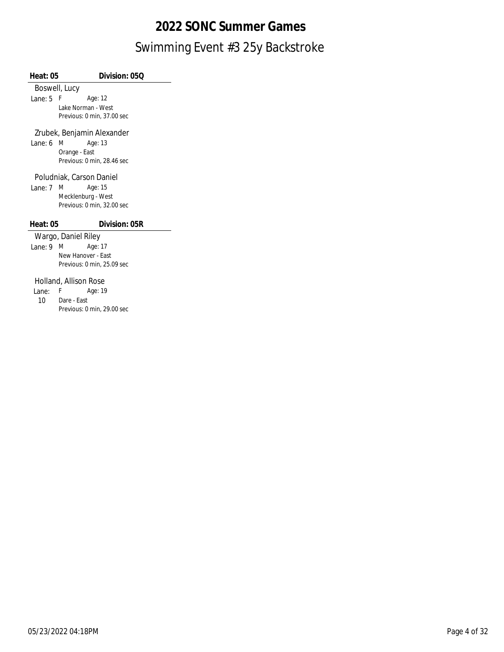### Swimming Event #3 25y Backstroke **2022 SONC Summer Games**

**Heat: 05 Division: 05Q**

Boswell, Lucy Lane: 5 F Age: 12

Lake Norman - West Previous: 0 min, 37.00 sec

### Zrubek, Benjamin Alexander<br>ane: 6 M<br>Age: 13

Lane: 6 Age: 13 M Orange - East Previous: 0 min, 28.46 sec

#### Poludniak, Carson Daniel

Lane: 7 Age: 15 M Mecklenburg - West Previous: 0 min, 32.00 sec

#### **Heat: 05 Division: 05R**

#### Wargo, Daniel Riley

Lane: 9 Age: 17 M New Hanover - East Previous: 0 min, 25.09 sec

#### Holland, Allison Rose

Lane: Age: 19 F 10 Dare - East Previous: 0 min, 29.00 sec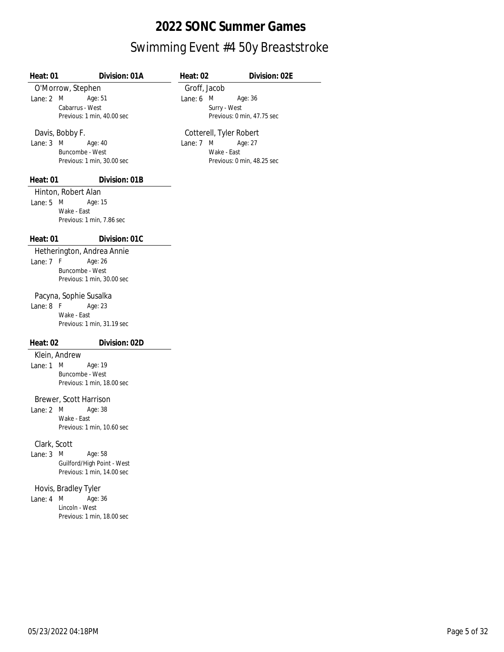### Swimming Event #4 50y Breaststroke **2022 SONC Summer Games**

| Heat: 01               | Division: 01A              | Heat: $02$     |                            | Division: 02E |
|------------------------|----------------------------|----------------|----------------------------|---------------|
| O'Morrow, Stephen      |                            |                | Groff, Jacob               |               |
| Lane: $2 \, M$         | Age: 51                    | Lane: $6 \, M$ | Age: 36                    |               |
|                        | Cabarrus - West            |                | Surry - West               |               |
|                        | Previous: 1 min, 40.00 sec |                | Previous: 0 min, 47.75 sec |               |
| Davis, Bobby F.        |                            |                | Cotterell, Tyler Robert    |               |
| Lane: 3 M              | Age: 40                    | Lane: 7        | M<br>Age: 27               |               |
|                        | Buncombe - West            |                | Wake - East                |               |
|                        | Previous: 1 min, 30.00 sec |                | Previous: 0 min, 48.25 sec |               |
| Heat: $01$             | Division: 01B              |                |                            |               |
| Hinton, Robert Alan    |                            |                |                            |               |
| Lane: $5 \, M$         | Age: 15                    |                |                            |               |
| Wake - East            |                            |                |                            |               |
|                        | Previous: 1 min, 7.86 sec  |                |                            |               |
|                        |                            |                |                            |               |
| Heat: $01$             | Division: 01C              |                |                            |               |
|                        | Hetherington, Andrea Annie |                |                            |               |
| Lane: $7 F$            | Age: 26                    |                |                            |               |
|                        | Buncombe - West            |                |                            |               |
|                        | Previous: 1 min, 30.00 sec |                |                            |               |
| Pacyna, Sophie Susalka |                            |                |                            |               |
| Lane: $8$ F            | Age: 23                    |                |                            |               |
| Wake - East            |                            |                |                            |               |
|                        | Previous: 1 min, 31.19 sec |                |                            |               |
|                        |                            |                |                            |               |
| Heat: 02               | Division: 02D              |                |                            |               |
| Klein, Andrew          |                            |                |                            |               |
| Lane: $1 \, M$         | Age: 19                    |                |                            |               |
|                        | Buncombe - West            |                |                            |               |
|                        | Previous: 1 min, 18.00 sec |                |                            |               |
| Brewer, Scott Harrison |                            |                |                            |               |
| Lane: 2 M              | Age: 38                    |                |                            |               |
| Wake - East            |                            |                |                            |               |
|                        | Previous: 1 min, 10.60 sec |                |                            |               |
| Clark, Scott           |                            |                |                            |               |
| M<br>Lane: 3           | Age: 58                    |                |                            |               |
|                        | Guilford/High Point - West |                |                            |               |
|                        | Previous: 1 min, 14.00 sec |                |                            |               |
|                        |                            |                |                            |               |
| Hovis, Bradley Tyler   |                            |                |                            |               |
| Lane: $4$<br>M         | Age: 36<br>Lincoln - West  |                |                            |               |
|                        | Previous: 1 min, 18.00 sec |                |                            |               |
|                        |                            |                |                            |               |
|                        |                            |                |                            |               |
|                        |                            |                |                            |               |
|                        |                            |                |                            |               |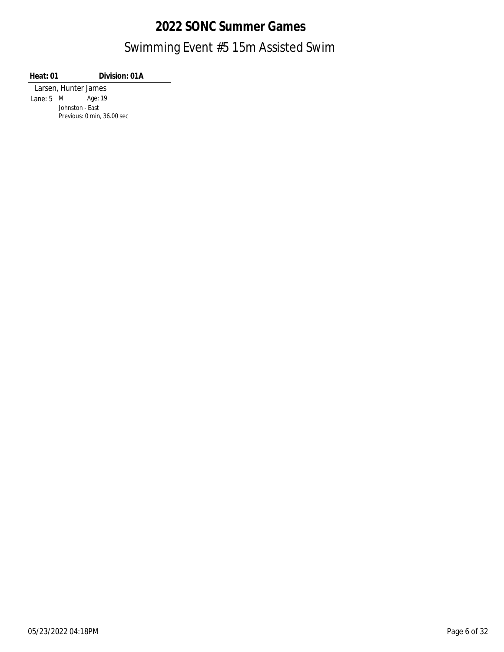### Swimming Event #5 15m Assisted Swim **2022 SONC Summer Games**

**Heat: 01 Division: 01A**

Larsen, Hunter James Lane: 5 M Age: 19 Johnston - East Previous: 0 min, 36.00 sec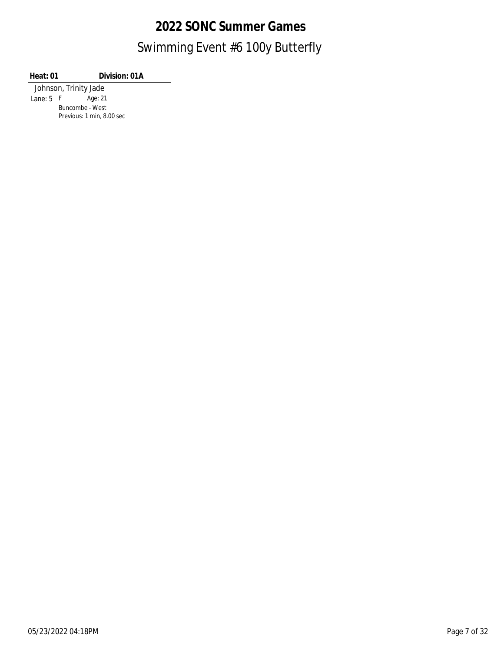### Swimming Event #6 100y Butterfly **2022 SONC Summer Games**

**Heat: 01 Division: 01A**

Johnson, Trinity Jade Lane: 5 F Age: 21 Buncombe - West Previous: 1 min, 8.00 sec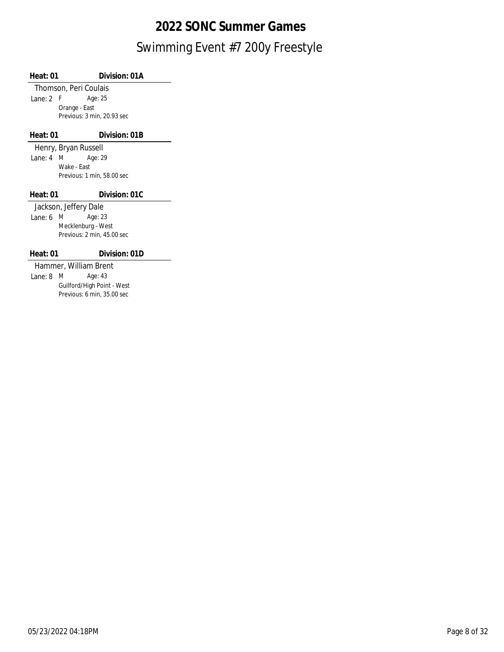| Heat: 01       | Division: 01A              |
|----------------|----------------------------|
|                | Thomson, Peri Coulais      |
| Lane: $2$ F    | Age: 25                    |
|                | Orange - East              |
|                | Previous: 3 min, 20.93 sec |
|                |                            |
| Heat: 01       | Division: 01B              |
|                | Henry, Bryan Russell       |
| Lane: 4 M      | Age: 29                    |
|                | Wake - Fast                |
|                | Previous: 1 min, 58.00 sec |
|                |                            |
| Heat: 01       | Division: 01C              |
|                |                            |
|                | Jackson, Jeffery Dale      |
| Lane: 6        | Age: 23<br>M               |
|                | Mecklenburg - West         |
|                | Previous: 2 min, 45.00 sec |
|                |                            |
| Heat: 01       | Division: 01D              |
|                | Hammer, William Brent      |
| Lane: $8 \,$ M | Age: 43                    |

Previous: 6 min, 35.00 sec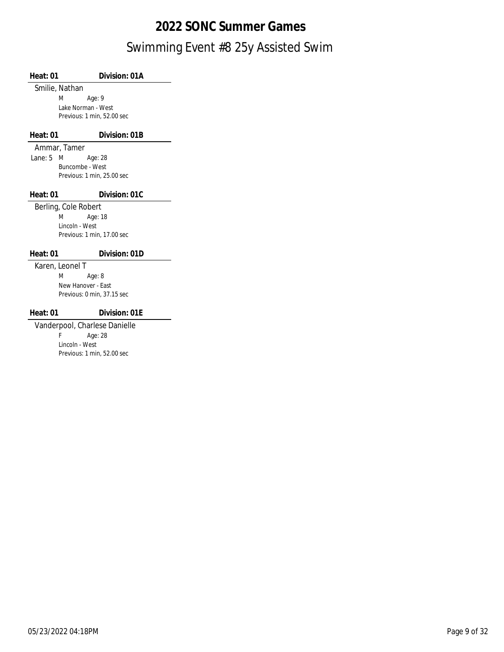### Swimming Event #8 25y Assisted Swim **2022 SONC Summer Games**

| Heat: 01  | Division: 01A                 |
|-----------|-------------------------------|
|           | Smilie, Nathan                |
|           | Age: 9<br>M                   |
|           | Lake Norman - West            |
|           | Previous: 1 min, 52.00 sec    |
| Heat: 01  | Division: 01B                 |
|           | Ammar, Tamer                  |
| Lane: 5 M | Age: 28                       |
|           | Buncombe - West               |
|           | Previous: 1 min, 25.00 sec    |
| Heat: 01  | Division: 01C                 |
|           | Berling, Cole Robert          |
|           | M<br>Age: 18                  |
|           | Lincoln - West                |
|           | Previous: 1 min, 17.00 sec    |
| Heat: 01  | Division: 01D                 |
|           | Karen, Leonel T               |
|           | M<br>Age: 8                   |
|           | New Hanover - East            |
|           | Previous: 0 min, 37.15 sec    |
| Heat: 01  | Division: 01E                 |
|           | Vanderpool, Charlese Danielle |

Age: 28 Lincoln - West Previous: 1 min, 52.00 sec F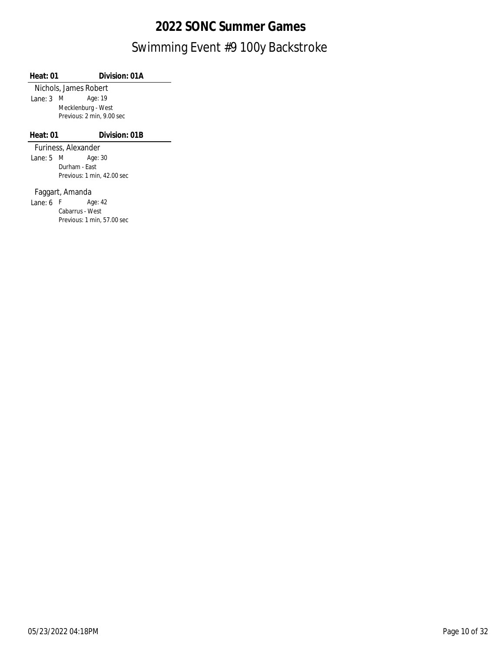### Swimming Event #9 100y Backstroke **2022 SONC Summer Games**

**Heat: 01 Division: 01A**

Nichols, James Robert Lane: 3 Age: 19 M Mecklenburg - West Previous: 2 min, 9.00 sec

#### **Heat: 01 Division: 01B**

Furiness, Alexander

Lane: 5 Age: 30 M Durham - East Previous: 1 min, 42.00 sec

#### Faggart, Amanda

Lane: 6 Age: 42 F Cabarrus - West Previous: 1 min, 57.00 sec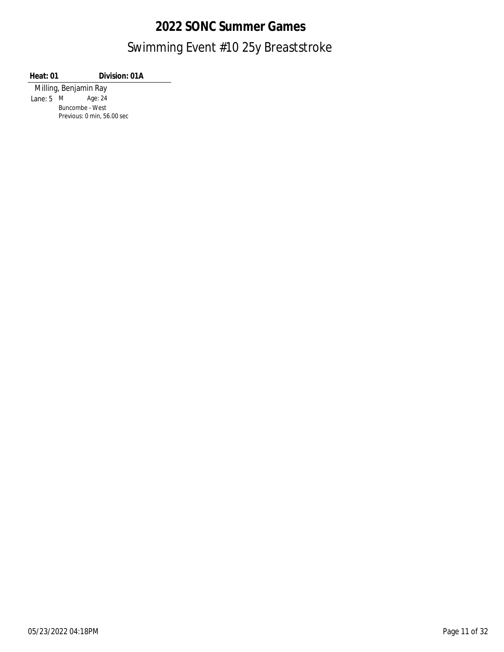### Swimming Event #10 25y Breaststroke **2022 SONC Summer Games**

**Heat: 01 Division: 01A**

Milling, Benjamin Ray Lane: 5 M Age: 24 Buncombe - West Previous: 0 min, 56.00 sec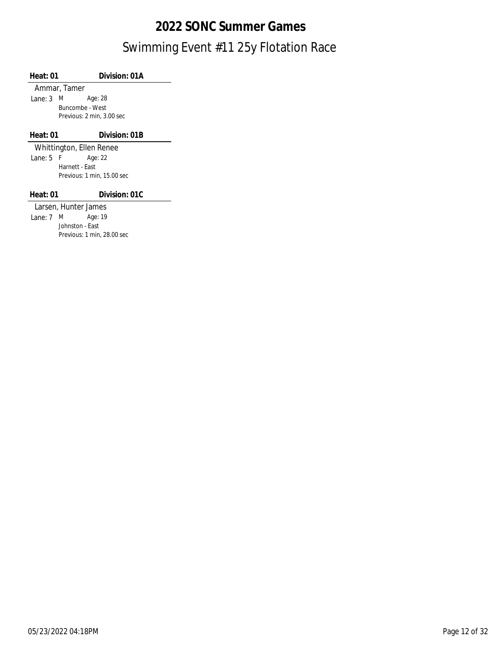### Swimming Event #11 25y Flotation Race **2022 SONC Summer Games**

**Heat: 01 Division: 01A** Ammar, Tamer Lane: 3 Age: 28 M Buncombe - West Previous: 2 min, 3.00 sec **Heat: 01 Division: 01B** Whittington, Ellen Renee Lane: 5 Age: 22 F Harnett - East Previous: 1 min, 15.00 sec **Heat: 01 Division: 01C** Larsen, Hunter James Lane: 7 Age: 19 M Johnston - East Previous: 1 min, 28.00 sec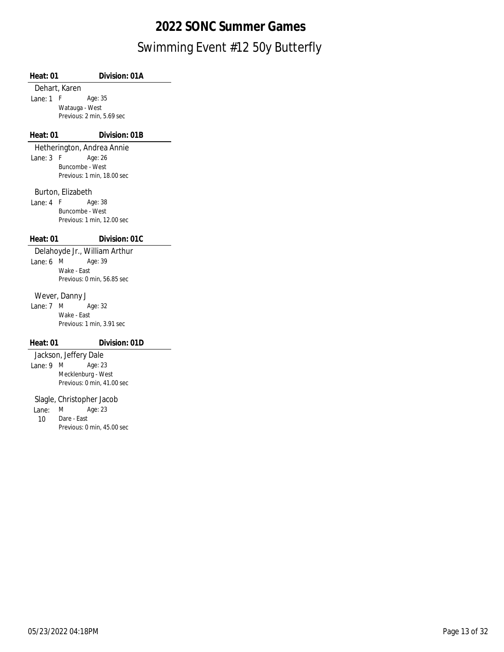## Swimming Event #12 50y Butterfly **2022 SONC Summer Games**

| Heat: 01       | Division: 01A                 |
|----------------|-------------------------------|
|                | Dehart, Karen                 |
| Lane: 1        | F<br>Age: 35                  |
|                | Watauga - West                |
|                | Previous: 2 min, 5.69 sec     |
|                |                               |
| Heat: 01       | Division: 01B                 |
|                | Hetherington, Andrea Annie    |
| Lane: 3        | F<br>Age: 26                  |
|                | Buncombe - West               |
|                | Previous: 1 min, 18.00 sec    |
|                | Burton, Elizabeth             |
| Lane: 4        | F<br>Age: 38                  |
|                | Buncombe - West               |
|                | Previous: 1 min, 12.00 sec    |
|                |                               |
| Heat: $01$     | Division: 01C                 |
|                | Delahoyde Jr., William Arthur |
| Lane: 6        | M<br>Age: 39                  |
|                | Wake - East                   |
|                | Previous: 0 min, 56.85 sec    |
|                | Wever, Danny J                |
| Lane: $7 \,$ M | Age: 32                       |
|                | Wake - East                   |
|                | Previous: 1 min, 3.91 sec     |
|                |                               |
| Heat: 01       | Division: 01D                 |
|                | Jackson, Jeffery Dale         |
| Lane: 9        | M<br>Age: 23                  |
|                | Mecklenburg - West            |
|                | Previous: 0 min, 41.00 sec    |
|                | Slagle, Christopher Jacob     |
| Lane:          | Age: 23<br>M                  |
| 10             | Dare - East                   |
|                | Previous: 0 min, 45.00 sec    |
|                |                               |
|                |                               |
|                |                               |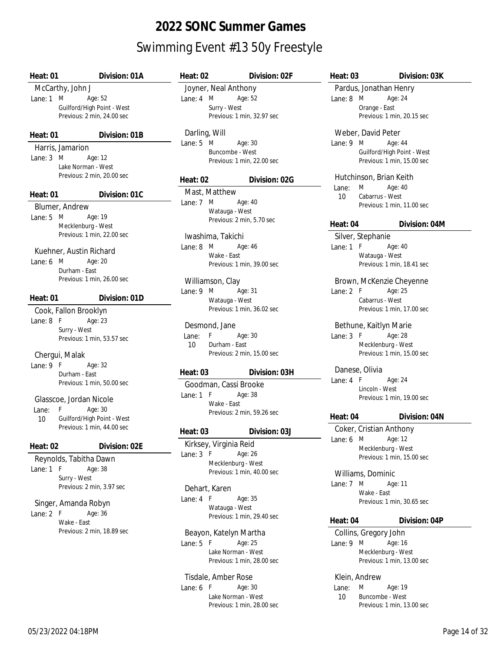| Division: 01A<br>Heat: 01                                                                                 | Heat: 02<br>Division: 02F                                                                               | Heat: 03<br>Division: 03K                                                                                        |
|-----------------------------------------------------------------------------------------------------------|---------------------------------------------------------------------------------------------------------|------------------------------------------------------------------------------------------------------------------|
| McCarthy, John J<br>Age: 52<br>Lane: $1 \, M$<br>Guilford/High Point - West<br>Previous: 2 min, 24.00 sec | Joyner, Neal Anthony<br>Age: 52<br>Lane: $4 \, M$<br>Surry - West<br>Previous: 1 min, 32.97 sec         | Pardus, Jonathan Henry<br>Age: 24<br>Lane: $8 \, M$<br>Orange - East<br>Previous: 1 min, 20.15 sec               |
| Division: 01B<br>Heat: 01                                                                                 | Darling, Will                                                                                           | Weber, David Peter                                                                                               |
| Harris, Jamarion<br>Age: 12<br>Lane: $3 \, M$<br>Lake Norman - West<br>Previous: 2 min, 20.00 sec         | Lane: $5 \, M$<br>Age: 30<br>Buncombe - West<br>Previous: 1 min, 22.00 sec<br>Heat: 02<br>Division: 02G | Lane: $9 \, M$<br>Age: 44<br>Guilford/High Point - West<br>Previous: 1 min, 15.00 sec<br>Hutchinson, Brian Keith |
|                                                                                                           | Mast, Matthew                                                                                           | M<br>Age: 40<br>Lane:                                                                                            |
| Division: 01C<br>Heat: 01<br>Blumer, Andrew<br>Lane: $5 \, M$<br>Age: 19                                  | Lane: 7 M<br>Age: 40<br>Watauga - West                                                                  | Cabarrus - West<br>10<br>Previous: 1 min, 11.00 sec                                                              |
| Mecklenburg - West                                                                                        | Previous: 2 min, 5.70 sec                                                                               | Heat: 04<br>Division: 04M                                                                                        |
| Previous: 1 min, 22.00 sec<br>Kuehner, Austin Richard<br>Lane: $6 \, M$<br>Age: 20<br>Durham - East       | Iwashima, Takichi<br>Lane: 8 M<br>Age: 46<br>Wake - East<br>Previous: 1 min, 39.00 sec                  | Silver, Stephanie<br>Lane: $1 F$<br>Age: 40<br>Watauga - West<br>Previous: 1 min, 18.41 sec                      |
| Previous: 1 min, 26.00 sec                                                                                | Williamson, Clay                                                                                        | Brown, McKenzie Cheyenne                                                                                         |
| Heat: 01<br>Division: 01D<br>Cook, Fallon Brooklyn                                                        | Lane: 9 M<br>Age: 31<br>Watauga - West<br>Previous: 1 min, 36.02 sec                                    | Lane: $2$ F<br>Age: 25<br>Cabarrus - West<br>Previous: 1 min, 17.00 sec                                          |
| Lane: $8$ F<br>Age: 23<br>Surry - West<br>Previous: 1 min, 53.57 sec<br>Chergui, Malak                    | Desmond, Jane<br>$-F$<br>Age: 30<br>Lane:<br>Durham - East<br>10<br>Previous: 2 min, 15.00 sec          | Bethune, Kaitlyn Marie<br>Lane: $3 F$<br>Age: 28<br>Mecklenburg - West<br>Previous: 1 min, 15.00 sec             |
| Lane: $9 F$<br>Age: 32<br>Durham - East<br>Previous: 1 min, 50.00 sec                                     | Heat: 03<br>Division: 03H<br>Goodman, Cassi Brooke                                                      | Danese, Olivia<br>Lane: $4 F$<br>Age: 24                                                                         |
| Glasscoe, Jordan Nicole<br>F<br>Age: 30<br>Lane:                                                          | Lane: $1 F$<br>Age: 38<br>Wake - East                                                                   | Lincoln - West<br>Previous: 1 min, 19.00 sec                                                                     |
| Guilford/High Point - West<br>10                                                                          | Previous: 2 min, 59.26 sec                                                                              | Division: 04N<br>Heat: $04$                                                                                      |
| Previous: 1 min, 44.00 sec                                                                                | Heat: 03<br>Division: 03J                                                                               | Coker, Cristian Anthony<br>Age: 12<br>Lane: $6 \, M$                                                             |
| Heat: 02<br>Division: 02E<br>Reynolds, Tabitha Dawn                                                       | Kirksey, Virginia Reid<br>Lane: $3 F$<br>Age: 26<br>Mecklenburg - West                                  | Mecklenburg - West<br>Previous: 1 min, 15.00 sec                                                                 |
| Lane: $1$ F<br>Age: 38<br>Surry - West<br>Previous: 2 min, 3.97 sec                                       | Previous: 1 min, 40.00 sec<br>Dehart, Karen                                                             | Williams, Dominic<br>M<br>Age: 11<br>Lane: 7                                                                     |
| Singer, Amanda Robyn<br>Age: 36<br>Lane: $2$ F                                                            | Lane: $4 F$<br>Age: 35<br>Watauga - West                                                                | Wake - East<br>Previous: 1 min, 30.65 sec                                                                        |
| Wake - East                                                                                               | Previous: 1 min, 29.40 sec                                                                              | Heat: 04<br>Division: 04P                                                                                        |
| Previous: 2 min, 18.89 sec                                                                                | Beayon, Katelyn Martha<br>Lane: $5 F$<br>Age: 25<br>Lake Norman - West<br>Previous: 1 min, 28.00 sec    | Collins, Gregory John<br>Lane: $9 \, M$<br>Age: 16<br>Mecklenburg - West<br>Previous: 1 min, 13.00 sec           |

Tisdale, Amber Rose Lane: 6 Age: 30 F Lake Norman - West Previous: 1 min, 28.00 sec Klein, Andrew

Lane: M Age: 19 10 Buncombe - West

Previous: 1 min, 13.00 sec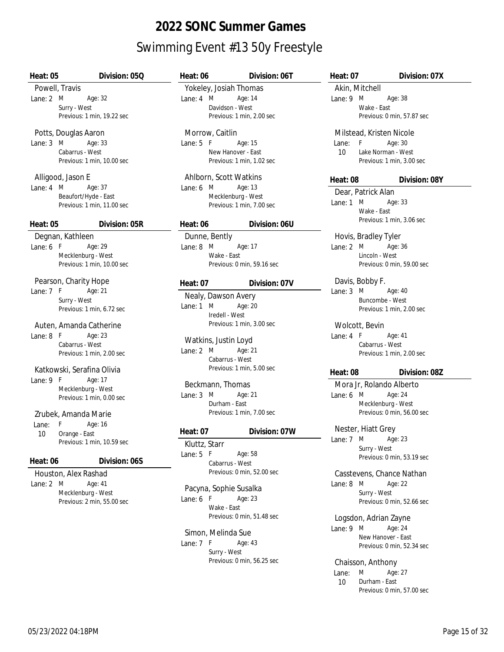| Division: 05Q<br>Heat: $05$                                  | Division: 06T<br>Heat: 06                  | Division:<br>Heat: 07                                   |
|--------------------------------------------------------------|--------------------------------------------|---------------------------------------------------------|
| Powell, Travis                                               | Yokeley, Josiah Thomas                     | Akin, Mitchell                                          |
| Lane: $2 \mathsf{M}$<br>Age: 32                              | Lane: 4 M<br>Age: 14                       | Lane: 9 M<br>Age: 38                                    |
| Surry - West                                                 | Davidson - West                            | Wake - East                                             |
| Previous: 1 min, 19.22 sec                                   | Previous: 1 min, 2.00 sec                  | Previous: 0 min, 57.87 sec                              |
| Potts, Douglas Aaron                                         | Morrow, Caitlin                            | Milstead, Kristen Nicole                                |
| Lane: $3 \text{ M}$ Age: $33 \text{ A}$                      | Lane: $5 F$<br>Age: 15                     | F.<br>Age: 30<br>Lane:                                  |
| Cabarrus - West                                              | New Hanover - East                         | Lake Norman - West<br>10                                |
| Previous: 1 min, 10.00 sec                                   | Previous: 1 min, 1.02 sec                  | Previous: 1 min, 3.00 sec                               |
| Alligood, Jason E                                            | Ahlborn, Scott Watkins                     | Heat: 08<br>Division:                                   |
| Lane: 4 M<br>Age: 37                                         | Lane: $6 \, M$<br>Age: 13                  | Dear, Patrick Alan                                      |
| Beaufort/Hyde - East                                         | Mecklenburg - West                         | Age: 33<br>Lane: $1 \t M$                               |
| Previous: 1 min, 11.00 sec                                   | Previous: 1 min, 7.00 sec                  | Wake - East                                             |
| Division: 05R<br>Heat: 05                                    | Heat: 06<br>Division: 06U                  | Previous: 1 min, 3.06 sec                               |
|                                                              |                                            |                                                         |
| Degnan, Kathleen<br>Lane: $6 \quad F \qquad \text{Age: } 29$ | Dunne, Bently<br>Lane: $8 \t M$<br>Age: 17 | Hovis, Bradley Tyler<br>Lane: $2 \mathsf{M}$<br>Age: 36 |
| Mecklenburg - West                                           | Wake - East                                | Lincoln - West                                          |
| Previous: 1 min, 10.00 sec                                   | Previous: 0 min, 59.16 sec                 | Previous: 0 min, 59.00 sec                              |
|                                                              |                                            |                                                         |
| Pearson, Charity Hope                                        | Heat: $07$<br>Division: 07V                | Davis, Bobby F.                                         |
| Lane: 7 F Age: 21<br>Surry - West                            | Nealy, Dawson Avery                        | Lane: $3 \, M$<br>Age: 40<br>Buncombe - West            |
| Previous: 1 min, 6.72 sec                                    | Lane: $1 \, M$<br>Age: 20                  | Previous: 1 min, 2.00 sec                               |
|                                                              | Iredell - West                             |                                                         |
| Auten, Amanda Catherine                                      | Previous: 1 min, 3.00 sec                  | Wolcott, Bevin                                          |
| Lane: 8 F Age: 23                                            | Watkins, Justin Loyd                       | Lane: $4$ F<br>Age: 41                                  |
| Cabarrus - West                                              | Lane: $2 \t M$<br>Age: 21                  | Cabarrus - West                                         |
| Previous: 1 min, 2.00 sec                                    | Cabarrus - West                            | Previous: 1 min, 2.00 sec                               |
| Katkowski, Serafina Olivia                                   | Previous: 1 min, 5.00 sec                  | Heat: 08<br>Division:                                   |
| Age: 17<br>Lane: $9 F$                                       |                                            |                                                         |
| Mecklenburg - West                                           | Beckmann, Thomas                           | Mora Jr, Rolando Alberto                                |
| Previous: 1 min, 0.00 sec                                    | Lane: $3 \, M$<br>Age: 21                  | Lane: $6 \, M$<br>Age: 24                               |
|                                                              | Durham - East<br>Previous: 1 min, 7.00 sec | Mecklenburg - West<br>Previous: 0 min, 56.00 sec        |
| Zrubek, Amanda Marie                                         |                                            |                                                         |
| Age: 16<br>Lane: $F$<br>10<br>Orange - East                  | Heat: 07 Division: 07W                     | Nester, Hiatt Grey                                      |
| Previous: 1 min, 10.59 sec                                   | Kluttz, Starr                              | Age: 23<br>Lane: $7 \,$ M                               |
|                                                              | Age: 58<br>Lane: $5 F$                     | Surry - West                                            |
| Division: 06S<br>Heat: 06                                    | Cabarrus - West                            | Previous: 0 min, 53.19 sec                              |
| Houston, Alex Rashad                                         | Previous: 0 min, 52.00 sec                 | Casstevens, Chance Nathan                               |
| Lane: $2 \, M$<br>Age: 41                                    | Pacyna, Sophie Susalka                     | Lane: $8 \, M$<br>Age: 22                               |
| Mecklenburg - West                                           | Age: 23<br>Lane: $6$ F                     | Surry - West                                            |
| Previous: 2 min, 55.00 sec                                   | Wake - East                                | Previous: 0 min, 52.66 sec                              |
|                                                              | Previous: 0 min, 51.48 sec                 | Logsdon, Adrian Zayne                                   |
|                                                              |                                            | Lane: $9 \, M$<br>Age: 24                               |
|                                                              | Simon, Melinda Sue                         | New Hanover - East                                      |
|                                                              | Lane: $7 F$<br>Age: 43<br>Surry - West     | Previous: 0 min, 52.34 sec                              |
|                                                              | Previous: 0 min, 56.25 sec                 | Chaisson, Anthony                                       |
|                                                              |                                            | M<br>Age: 27<br>Lane:                                   |
|                                                              |                                            | Durham - East<br>10                                     |
|                                                              |                                            | Previous: 0 min, 57.00 sec                              |

**Heat: 07 Division: 07X**

**Heat: 08 Division: 08Y**

**Heat: 08 Division: 08Z**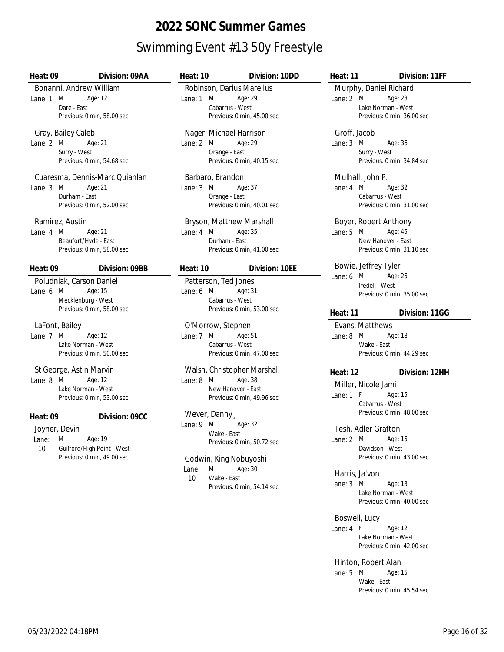#### **Heat: 09 Division: 09AA**

Bonanni, Andrew William Lane: 1 M Age: 12 Dare - East Previous: 0 min, 58.00 sec

#### Gray, Bailey Caleb

Lane: 2 Age: 21 M Surry - West Previous: 0 min, 54.68 sec

#### Cuaresma, Dennis-Marc Quianlan

Lane: 3 Age: 21 M Durham - East Previous: 0 min, 52.00 sec

#### Ramirez, Austin

- Lane: 4 Age: 21 M Beaufort/Hyde - East Previous: 0 min, 58.00 sec
- **Heat: 09 Division: 09BB**

#### Poludniak, Carson Daniel

Lane: 6 Age: 15 M Mecklenburg - West Previous: 0 min, 58.00 sec

#### LaFont, Bailey

Lane: 7 Age: 12 M Lake Norman - West Previous: 0 min, 50.00 sec

#### St George, Astin Marvin

Lane: 8 Age: 12 M Lake Norman - West Previous: 0 min, 53.00 sec

#### **Heat: 09 Division: 09CC**

### Joyner, Devin

Lane: Age: 19 M 10 Guilford/High Point - West Previous: 0 min, 49.00 sec

#### **Heat: 10 Division: 10DD**

Robinson, Darius Marellus Lane: 1 M Age: 29 Cabarrus - West Previous: 0 min, 45.00 sec

Nager, Michael Harrison Lane: 2 Age: 29 M Orange - East Previous: 0 min, 40.15 sec

#### Barbaro, Brandon

Lane: 3 Age: 37 M Orange - East Previous: 0 min, 40.01 sec

#### Bryson, Matthew Marshall Lane: 4 Age: 35 M Durham - East Previous: 0 min, 41.00 sec

#### **Heat: 10 Division: 10EE**

Patterson, Ted Jones Lane: 6 Age: 31 M Cabarrus - West Previous: 0 min, 53.00 sec

#### O'Morrow, Stephen

Lane: 7 Age: 51 M Cabarrus - West Previous: 0 min, 47.00 sec

#### Walsh, Christopher Marshall

Lane: 8 M Age: 38 New Hanover - East Previous: 0 min, 49.96 sec

#### Wever, Danny J

Lane: 9 M Age: 32 Wake - East Previous: 0 min, 50.72 sec

#### Godwin, King Nobuyoshi

Lane: Age: 30 M 10 Wake - East Previous: 0 min, 54.14 sec

Murphy, Daniel Richard Lane: 2 Age: 23 M Lake Norman - West Previous: 0 min, 36.00 sec

**Heat: 11 Division: 11FF**

Groff, Jacob

Lane: 3 Age: 36 M Surry - West Previous: 0 min, 34.84 sec

#### Mulhall, John P.

Lane: 4 Age: 32 M Cabarrus - West Previous: 0 min, 31.00 sec

#### Boyer, Robert Anthony

Lane: 5 Age: 45 M New Hanover - East Previous: 0 min, 31.10 sec

#### Bowie, Jeffrey Tyler

Lane: 6 Age: 25 M Iredell - West Previous: 0 min, 35.00 sec

**Heat: 11 Division: 11GG**

Evans, Matthews Lane: 8 Age: 18 M Wake - East Previous: 0 min, 44.29 sec

#### **Heat: 12 Division: 12HH**

Miller, Nicole Jami Lane: 1 Age: 15 F Cabarrus - West Previous: 0 min, 48.00 sec

Tesh, Adler Grafton

Lane: 2 Age: 15 M Davidson - West Previous: 0 min, 43.00 sec

#### Harris, Ja'von

Lane: 3 Age: 13 M Lake Norman - West Previous: 0 min, 40.00 sec

#### Boswell, Lucy

Lane: 4 Age: 12 F Lake Norman - West Previous: 0 min, 42.00 sec

Hinton, Robert Alan Lane: 5 Age: 15 M Wake - East Previous: 0 min, 45.54 sec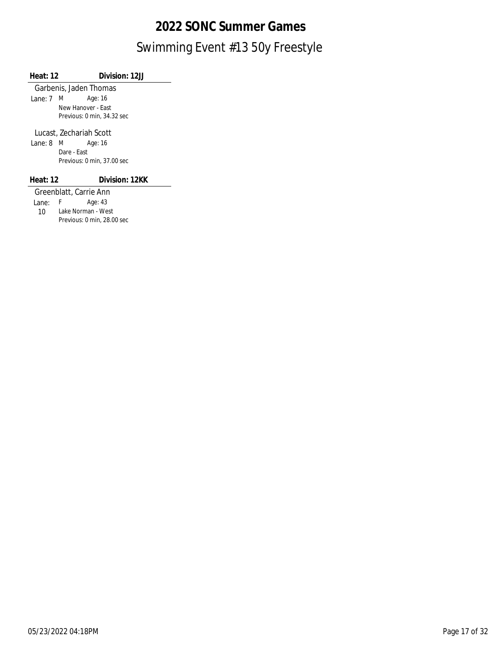**Heat: 12 Division: 12JJ**

Garbenis, Jaden Thomas Lane: 7 Age: 16 M New Hanover - East

Previous: 0 min, 34.32 sec

Lucast, Zechariah Scott

Lane: 8 Age: 16 M Dare - East Previous: 0 min, 37.00 sec

**Heat: 12 Division: 12KK**

Greenblatt, Carrie Ann Lane: Age: 43 F 10 Lake Norman - West Previous: 0 min, 28.00 sec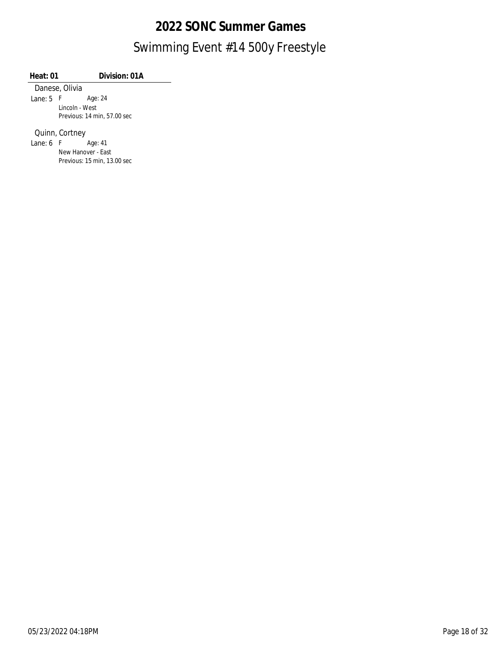**Heat: 01 Division: 01A**

Danese, Olivia Lane: 5 F Age: 24 Lincoln - West

Previous: 14 min, 57.00 sec

Quinn, Cortney

Lane: 6 F Age: 41 New Hanover - East Previous: 15 min, 13.00 sec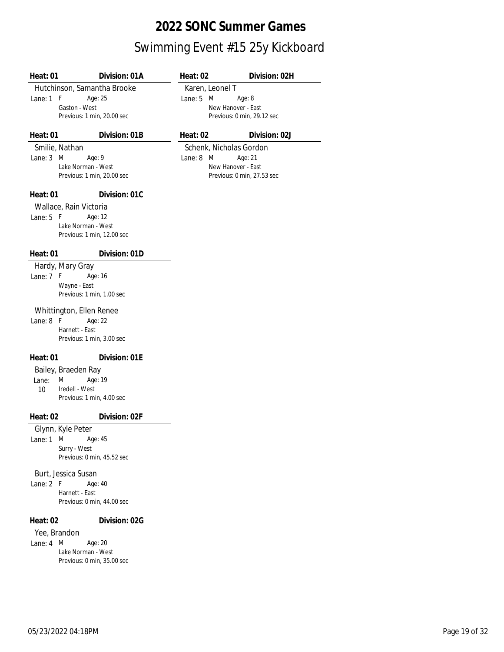### Swimming Event #15 25y Kickboard **2022 SONC Summer Games**

| Heat: 01    | Division: 01A                                    | Heat: 02   |                            | Division: 02H |
|-------------|--------------------------------------------------|------------|----------------------------|---------------|
|             | Hutchinson, Samantha Brooke                      |            | Karen, Leonel T            |               |
| Lane: 1     | F<br>Age: 25                                     | Lane: $5$  | M                          | Age: 8        |
|             | Gaston - West                                    |            | New Hanover - East         |               |
|             | Previous: 1 min, 20.00 sec                       |            | Previous: 0 min, 29.12 sec |               |
| Heat: 01    | Division: 01B                                    | Heat: $02$ |                            | Division: 02J |
|             | Smilie, Nathan                                   |            | Schenk, Nicholas Gordon    |               |
| Lane: $3$   | M<br>Age: 9                                      | Lane: 8    | M                          | Age: 21       |
|             | Lake Norman - West                               |            | New Hanover - East         |               |
|             | Previous: 1 min, 20.00 sec                       |            | Previous: 0 min, 27.53 sec |               |
| Heat: $01$  | Division: 01C                                    |            |                            |               |
|             | Wallace, Rain Victoria                           |            |                            |               |
| Lane: 5     | - F<br>Age: 12                                   |            |                            |               |
|             | Lake Norman - West<br>Previous: 1 min, 12.00 sec |            |                            |               |
|             |                                                  |            |                            |               |
| Heat: $01$  | Division: 01D                                    |            |                            |               |
|             | Hardy, Mary Gray                                 |            |                            |               |
| Lane: $7$   | F<br>Age: 16                                     |            |                            |               |
|             | Wayne - East                                     |            |                            |               |
|             | Previous: 1 min, 1.00 sec                        |            |                            |               |
|             | Whittington, Ellen Renee                         |            |                            |               |
| Lane: $8$ F | Age: 22                                          |            |                            |               |
|             | Harnett - East                                   |            |                            |               |
|             | Previous: 1 min, 3.00 sec                        |            |                            |               |
| Heat: 01    | Division: 01E                                    |            |                            |               |
|             | Bailey, Braeden Ray                              |            |                            |               |
| Lane:       | Age: 19<br>M                                     |            |                            |               |
| 10          | Iredell - West                                   |            |                            |               |
|             | Previous: 1 min, 4.00 sec                        |            |                            |               |
| Heat: 02    | Division: 02F                                    |            |                            |               |
|             | Glynn, Kyle Peter                                |            |                            |               |
|             | Lane: $1 \text{ M}$ Age: $45$                    |            |                            |               |
|             | Surry - West<br>Previous: 0 min, 45.52 sec       |            |                            |               |
|             |                                                  |            |                            |               |
|             | Burt, Jessica Susan                              |            |                            |               |
| Lane: $2$ F | Age: 40                                          |            |                            |               |
|             | Harnett - East                                   |            |                            |               |
|             | Previous: 0 min, 44.00 sec                       |            |                            |               |
| Heat: 02    | Division: 02G                                    |            |                            |               |
|             | Yee, Brandon                                     |            |                            |               |
| Lane: 4     | M<br>Age: 20                                     |            |                            |               |
|             | Lake Norman - West<br>Previous: 0 min, 35.00 sec |            |                            |               |
|             |                                                  |            |                            |               |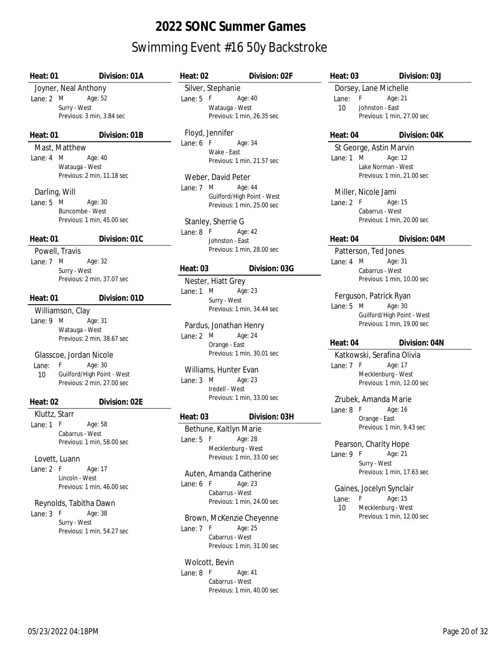### Swimming Event #16 50y Backstroke **2022 SONC Summer Games**

| Heat: $01$           | Division: 01A                                | Heat: 02                         | Division: 02F                         | Heat: 03                 | Division: 03J              |
|----------------------|----------------------------------------------|----------------------------------|---------------------------------------|--------------------------|----------------------------|
| Joyner, Neal Anthony |                                              | Silver, Stephanie                |                                       | Dorsey, Lane Michelle    |                            |
| Lane: 2 M            | Age: 52                                      | Lane: $5 F$                      | Age: 40                               | Lane: F                  | Age: 21                    |
|                      | Surry - West                                 |                                  | Watauga - West                        | 10 <sup>1</sup>          | Johnston - East            |
|                      | Previous: 3 min, 3.84 sec                    |                                  | Previous: 1 min, 26.35 sec            |                          | Previous: 1 min, 27.00 sec |
| Heat: $01$           | Division: 01B                                | Floyd, Jennifer                  |                                       | Heat: 04                 | Division: 04K              |
| Mast, Matthew        |                                              | Lane: $6$ F<br>Wake - East       | Age: 34                               | St George, Astin Marvin  |                            |
| Lane: 4 M            | Age: 40                                      |                                  | Previous: 1 min, 21.57 sec            | Lane: $1 \, M$           | Age: 12                    |
|                      | Watauga - West                               |                                  |                                       |                          | Lake Norman - West         |
|                      | Previous: 2 min, 11.18 sec                   | Weber, David Peter               |                                       |                          | Previous: 1 min, 21.00 sec |
| Darling, Will        |                                              | Lane: 7 M                        | Age: 44<br>Guilford/High Point - West | Miller, Nicole Jami      |                            |
| Lane: $5 \, M$       | Age: 30                                      |                                  | Previous: 1 min, 25.00 sec            | Lane: $2$ F              | Age: 15                    |
|                      | Buncombe - West                              |                                  |                                       |                          | Cabarrus - West            |
|                      | Previous: 1 min, 45.00 sec                   | Stanley, Sherrie G               |                                       |                          | Previous: 1 min, 20.00 sec |
|                      |                                              | Lane: $8$ F                      | Age: 42                               |                          |                            |
| Heat: $01$           | Division: 01C                                |                                  | Johnston - East                       | Heat: 04                 | Division: 04M              |
| Powell, Travis       |                                              |                                  | Previous: 1 min, 28.00 sec            | Patterson, Ted Jones     |                            |
| Lane: 7 M            | Age: 32                                      |                                  |                                       | Lane: $4 \, M$           | Age: 31                    |
|                      | Surry - West                                 | Heat: $03$                       | Division: 03G                         |                          | Cabarrus - West            |
|                      | Previous: 2 min, 37.07 sec                   | Nester, Hiatt Grey               |                                       |                          | Previous: 1 min, 10.00 sec |
| Heat: 01             | Division: 01D                                | Lane: $1 \, M$                   | Age: 23                               | Ferguson, Patrick Ryan   |                            |
|                      |                                              | Surry - West                     | Previous: 1 min, 34.44 sec            | Lane: $5 \, M$           | Age: 30                    |
| Williamson, Clay     |                                              |                                  |                                       |                          | Guilford/High Point - West |
| Lane: 9 M            | Age: 31                                      | Pardus, Jonathan Henry           |                                       |                          | Previous: 1 min, 19.00 sec |
|                      | Watauga - West<br>Previous: 2 min, 38.67 sec | Lane: $2 \, M$                   | Age: 24                               |                          |                            |
|                      |                                              | Orange - East                    |                                       | Heat: 04                 | Division: 04N              |
|                      | Glasscoe, Jordan Nicole                      |                                  | Previous: 1 min, 30.01 sec            |                          | Katkowski, Serafina Olivia |
| F<br>Lane:           | Age: 30                                      |                                  |                                       | Lane: 7 F                | Age: 17                    |
| 10                   | Guilford/High Point - West                   | Williams, Hunter Evan            |                                       |                          | Mecklenburg - West         |
|                      | Previous: 2 min, 27.00 sec                   | Lane: $3 \, M$<br>Iredell - West | Age: 23                               |                          | Previous: 1 min, 12.00 sec |
|                      |                                              |                                  | Previous: 1 min, 33.00 sec            | Zrubek, Amanda Marie     |                            |
| Heat: 02             | Division: 02E                                |                                  |                                       | Lane: 8 F                | Age: 16                    |
| Kluttz, Starr        |                                              | Heat: 03                         | Division: 03H                         |                          | Orange - East              |
| Lane: $1$ F          | Age: 58                                      | Bethune, Kaitlyn Marie           |                                       |                          | Previous: 1 min, 9.43 sec  |
|                      | Cabarrus - West                              | Lane: 5 F Age: 28                |                                       |                          |                            |
|                      | Previous: 1 min, 58.00 sec                   |                                  | Mecklenburg - West                    | Pearson, Charity Hope    |                            |
| Lovett, Luann        |                                              |                                  | Previous: 1 min, 33.00 sec            | Lane: $9 F$              | Age: 21                    |
| Lane: 2 F            | Age: 17                                      |                                  |                                       | Surry - West             | Previous: 1 min, 17.63 sec |
|                      | Lincoln - West                               | Auten, Amanda Catherine          |                                       |                          |                            |
|                      | Previous: 1 min, 46.00 sec                   | Lane: $6$ F                      | Age: 23<br>Cabarrus - West            | Gaines, Jocelyn Synclair |                            |
|                      |                                              |                                  | Previous: 1 min, 24.00 sec            | F<br>Lane:               | Age: 15                    |
|                      | Reynolds, Tabitha Dawn                       |                                  |                                       | 10                       | Mecklenburg - West         |
| Lane: 3 F            | Age: 38<br>Surry - West                      |                                  | Brown, McKenzie Cheyenne              |                          | Previous: 1 min, 12.00 sec |
|                      | Previous: 1 min, 54.27 sec                   | Lane: 7 F                        | Age: 25                               |                          |                            |
|                      |                                              |                                  | Cabarrus - West                       |                          |                            |
|                      |                                              |                                  | Previous: 1 min, 31.00 sec            |                          |                            |

Wolcott, Bevin Lane: 8 F Age: 41 Cabarrus - West Previous: 1 min, 40.00 sec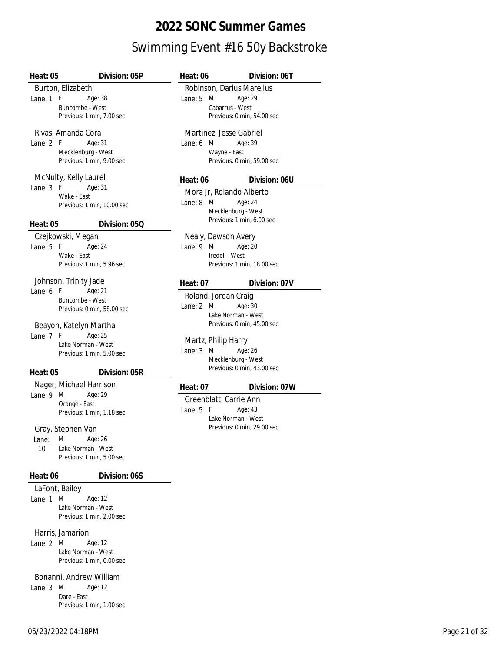### Swimming Event #16 50y Backstroke **2022 SONC Summer Games**

| <b>Heat: 05</b>         | Division: 05P              | Heat: 06             | Division: 06T                 |
|-------------------------|----------------------------|----------------------|-------------------------------|
| Burton, Elizabeth       |                            |                      | Robinson, Darius Marellus     |
| Lane: $1$ F             | Age: 38                    | Lane: $5 \, M$       | Age: 29                       |
|                         | Buncombe - West            |                      | Cabarrus - West               |
|                         | Previous: 1 min, 7.00 sec  |                      | Previous: 0 min, 54.00 sec    |
| Rivas, Amanda Cora      |                            |                      | Martinez, Jesse Gabriel       |
| Lane: $2$ F             | Age: 31                    | Lane: $6 \, M$       | Age: 39                       |
|                         | Mecklenburg - West         |                      | Wayne - East                  |
|                         | Previous: 1 min, 9.00 sec  |                      | Previous: 0 min, 59.00 sec    |
| McNulty, Kelly Laurel   |                            | Heat: $06$           | Division: 06U                 |
| Lane: $3 F$             | Age: 31                    |                      |                               |
| Wake - East             |                            |                      | Mora Jr, Rolando Alberto      |
|                         | Previous: 1 min, 10.00 sec | Lane: $8 \, M$       | Age: 24                       |
|                         |                            |                      | Mecklenburg - West            |
| Heat: 05                | Division: 05Q              |                      | Previous: 1 min, 6.00 sec     |
| Czejkowski, Megan       |                            |                      | Nealy, Dawson Avery           |
| Lane: $5$ F             | Age: 24                    | Lane: $9 \, M$       | Age: 20                       |
| Wake - East             |                            |                      | Iredell - West                |
|                         | Previous: 1 min, 5.96 sec  |                      | Previous: 1 min, 18.00 sec    |
| Johnson, Trinity Jade   |                            | Heat: 07             | Division: 07V                 |
| Lane: $6$ F             | Age: 21                    | Roland, Jordan Craig |                               |
|                         | Buncombe - West            |                      |                               |
|                         | Previous: 0 min, 58.00 sec | Lane: 2 M            | Age: 30<br>Lake Norman - West |
|                         |                            |                      | Previous: 0 min, 45.00 sec    |
| Beayon, Katelyn Martha  |                            |                      |                               |
| Lane: $7 F$             | Age: 25                    | Martz, Philip Harry  |                               |
|                         | Lake Norman - West         | Lane: 3 M            | Age: 26                       |
|                         | Previous: 1 min, 5.00 sec  |                      | Mecklenburg - West            |
| Heat: 05                | Division: 05R              |                      | Previous: 0 min, 43.00 sec    |
| Nager, Michael Harrison |                            |                      |                               |
| Lane: $9$ M             | Age: 29                    | Heat: 07             | Division: 07W                 |
| Orange - East           |                            |                      | Greenblatt, Carrie Ann        |
|                         | Previous: 1 min, 1.18 sec  | Lane: $5$ F          | Age: 43                       |
|                         |                            |                      | Lake Norman - West            |
| Gray, Stephen Van       |                            |                      | Previous: 0 min, 29.00 sec    |
| Lane:                   | M Age: 26                  |                      |                               |
| 10                      | Lake Norman - West         |                      |                               |
|                         | Previous: 1 min, 5.00 sec  |                      |                               |
| Heat: 06                | Division: 06S              |                      |                               |
| LaFont, Bailey          |                            |                      |                               |
| M<br>Lane: 1            | Age: 12                    |                      |                               |
|                         | Lake Norman - West         |                      |                               |
|                         | Previous: 1 min, 2.00 sec  |                      |                               |
| Harris, Jamarion        |                            |                      |                               |
| Lane: $2 \mathsf{M}$    | Age: 12                    |                      |                               |
|                         | Lake Norman - West         |                      |                               |
|                         | Previous: 1 min, 0.00 sec  |                      |                               |
| Bonanni, Andrew William |                            |                      |                               |
| Lane: 3 M               | Age: 12                    |                      |                               |
| Dare - East             |                            |                      |                               |

Previous: 1 min, 1.00 sec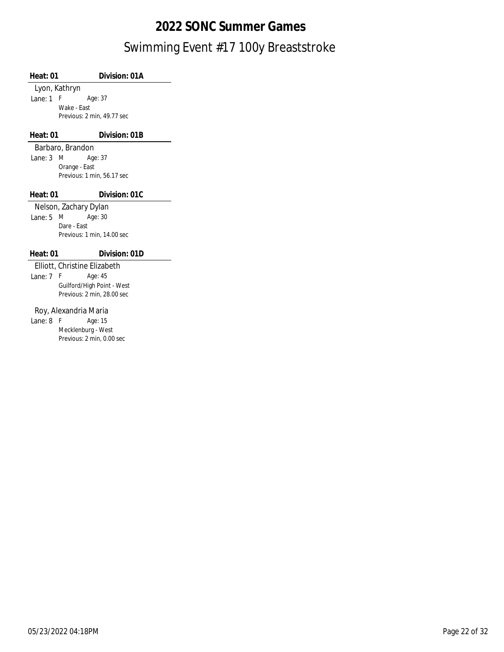### Swimming Event #17 100y Breaststroke **2022 SONC Summer Games**

| Heat: 01           | Division: 01A                |
|--------------------|------------------------------|
|                    | Lyon, Kathryn                |
| Lane: 1            | F<br>Age: 37                 |
|                    | Wake - Fast                  |
|                    | Previous: 2 min, 49.77 sec   |
|                    |                              |
| Heat: 01           | Division: 01B                |
|                    | Barbaro, Brandon             |
| $l$ ane: $3 \in M$ | Age: 37                      |
|                    | Orange - East                |
|                    | Previous: 1 min, 56.17 sec   |
|                    |                              |
|                    |                              |
| Heat: 01           | Division: 01C                |
|                    | Nelson, Zachary Dylan        |
| Lane: 5            | M<br>Age: 30                 |
|                    | Dare - Fast                  |
|                    | Previous: 1 min, 14.00 sec   |
|                    |                              |
| Heat: 01           | Division: 01D                |
|                    | Elliott, Christine Elizabeth |
| Lane: $7 F$        | Age: 45                      |
|                    | Guilford/High Point - West   |
|                    | Previous: 2 min, 28.00 sec   |

#### Roy, Alexandria Maria

Lane: 8 Age: 15 F Mecklenburg - West Previous: 2 min, 0.00 sec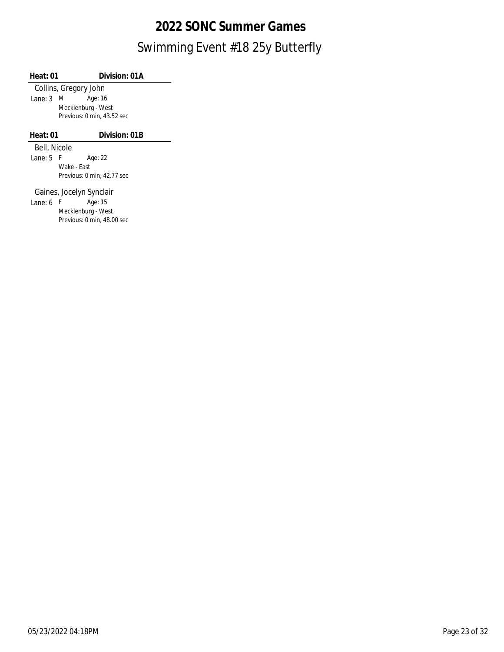### Swimming Event #18 25y Butterfly **2022 SONC Summer Games**

**Heat: 01 Division: 01A** Collins, Gregory John Lane: 3 Age: 16 M Mecklenburg - West Previous: 0 min, 43.52 sec

**Heat: 01 Division: 01B**

Bell, Nicole

Lane: 5 Age: 22 F Wake - East Previous: 0 min, 42.77 sec

Gaines, Jocelyn Synclair

Lane: 6 Age: 15 F Mecklenburg - West Previous: 0 min, 48.00 sec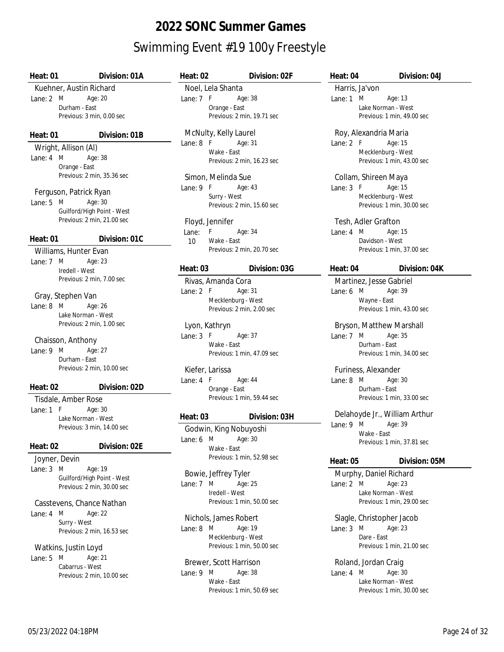| Heat: 01      | Division: 01A                               | Н |
|---------------|---------------------------------------------|---|
|               | Kuehner, Austin Richard                     |   |
| Lane: 2       | M<br>Age: 20                                | L |
|               | Durham - East                               |   |
|               | Previous: 3 min, 0.00 sec                   |   |
| Heat: 01      | Division: 01B                               | L |
|               | Wright, Allison (Al)                        |   |
| Lane: 4       | M<br>Age: 38                                |   |
|               | Orange - East<br>Previous: 2 min, 35.36 sec |   |
|               | Ferguson, Patrick Ryan                      | L |
| Lane: 5       | M<br>Age: 30                                |   |
|               | Guilford/High Point - West                  |   |
|               | Previous: 2 min, 21.00 sec                  |   |
| Heat: 01      | Division: 01C                               |   |
|               | Williams, Hunter Evan                       |   |
| Lane: 7       | M<br>Age: 23                                |   |
|               | Iredell - West                              | H |
|               | Previous: 2 min, 7.00 sec                   |   |
|               | Gray, Stephen Van                           | L |
| Lane: 8       | M<br>Age: 26                                |   |
|               | Lake Norman - West                          |   |
|               | Previous: 2 min, 1.00 sec                   |   |
|               | Chaisson, Anthony                           | L |
| Lane: 9       | M<br>Age: 27                                |   |
|               | Durham - East                               |   |
|               | Previous: 2 min, 10.00 sec                  |   |
| Heat: 02      | Division: 02D                               | L |
|               | Tisdale, Amber Rose                         |   |
| Lane: 1       | F.<br>Age: 30                               |   |
|               | Lake Norman - West                          | H |
|               | Previous: 3 min, 14.00 sec                  |   |
| Heat: 02      | Division: 02E                               | L |
| Joyner, Devin |                                             |   |
| Lane: 3       | M<br>Age: 19                                |   |
|               | Guilford/High Point - West                  | L |
|               | Previous: 2 min, 30.00 sec                  |   |
|               | Casstevens, Chance Nathan                   |   |
| Lane: 4       | M<br>Age: 22                                |   |
|               | Surry - West                                |   |
|               | Previous: 2 min, 16.53 sec                  | L |
|               | Watkins, Justin Loyd                        |   |
| Lane: 5       | M<br>Age: 21                                |   |
|               | Cabarrus - West                             |   |
|               | Previous: 2 min, 10.00 sec                  | L |
|               |                                             |   |

**Heat: 02 Division: 02F** Noel, Lela Shanta Lane: 7 F Age: 38 Orange - East Previous: 2 min, 19.71 sec

McNulty, Kelly Laurel Lane: 8 Age: 31 F Wake - East Previous: 2 min, 16.23 sec

Simon, Melinda Sue Lane: 9 F Age: 43 Surry - West Previous: 2 min, 15.60 sec

Floyd, Jennifer Lane: F Age: 34 10 Wake - East Previous: 2 min, 20.70 sec

### **Heat: 03 Division: 03G**

Rivas, Amanda Cora Lane: 2 Age: 31 F Mecklenburg - West Previous: 2 min, 2.00 sec

Lyon, Kathryn Lane: 3 F Age: 37 Wake - East Previous: 1 min, 47.09 sec

Kiefer, Larissa Lane: 4 F Age: 44 Orange - East Previous: 1 min, 59.44 sec

#### **Heat: 03 Division: 03H**

Godwin, King Nobuyoshi Lane: 6 M Age: 30 Wake - East Previous: 1 min, 52.98 sec

Bowie, Jeffrey Tyler Lane: 7 M Age: 25 Iredell - West Previous: 1 min, 50.00 sec

Nichols, James Robert

Lane: 8 M Age: 19 Mecklenburg - West Previous: 1 min, 50.00 sec

Brewer, Scott Harrison Lane: 9 Age: 38 M Wake - East Previous: 1 min, 50.69 sec

#### Harris, Ja'von Lane: 1 Age: 13 M Lake Norman - West Previous: 1 min, 49.00 sec

**Heat: 04 Division: 04J**

Roy, Alexandria Maria Lane: 2 Age: 15 F Mecklenburg - West Previous: 1 min, 43.00 sec

Collam, Shireen Maya Lane: 3 Age: 15 F Mecklenburg - West Previous: 1 min, 30.00 sec

Tesh, Adler Grafton Lane: 4 Age: 15 M Davidson - West Previous: 1 min, 37.00 sec

#### **Heat: 04 Division: 04K**

Martinez, Jesse Gabriel Lane: 6 Age: 39 M Wayne - East Previous: 1 min, 43.00 sec

Bryson, Matthew Marshall Lane: 7 Age: 35 M Durham - East Previous: 1 min, 34.00 sec

Furiness, Alexander Lane: 8 Age: 30 M Durham - East Previous: 1 min, 33.00 sec

Delahoyde Jr., William Arthur Lane: 9 Age: 39 M Wake - East Previous: 1 min, 37.81 sec

#### **Heat: 05 Division: 05M**

Murphy, Daniel Richard Lane: 2 Age: 23 M Lake Norman - West Previous: 1 min, 29.00 sec

Slagle, Christopher Jacob Lane: 3 Age: 23 M Dare - East Previous: 1 min, 21.00 sec

Roland, Jordan Craig Lane: 4 Age: 30 M Lake Norman - West Previous: 1 min, 30.00 sec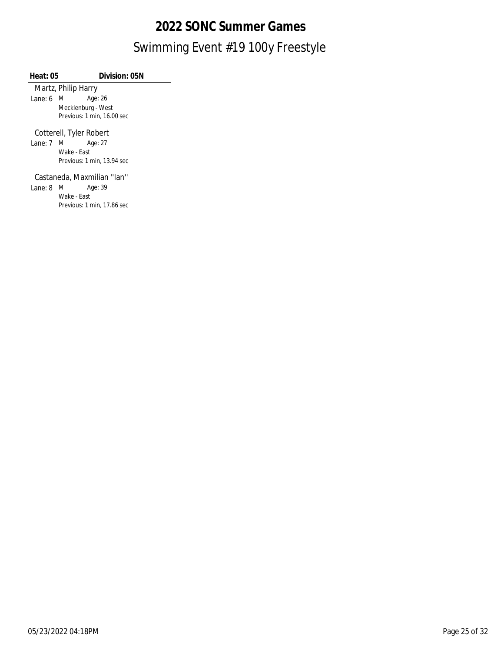**Heat: 05 Division: 05N**

Martz, Philip Harry Lane: 6 Age: 26 M Mecklenburg - West Previous: 1 min, 16.00 sec

Cotterell, Tyler Robert<br>
ane: 7 M Age: 27

Lane: 7 Age: 27 M Wake - East Previous: 1 min, 13.94 sec

#### Castaneda, Maxmilian ''Ian''

Lane: 8 Age: 39 M Wake - East Previous: 1 min, 17.86 sec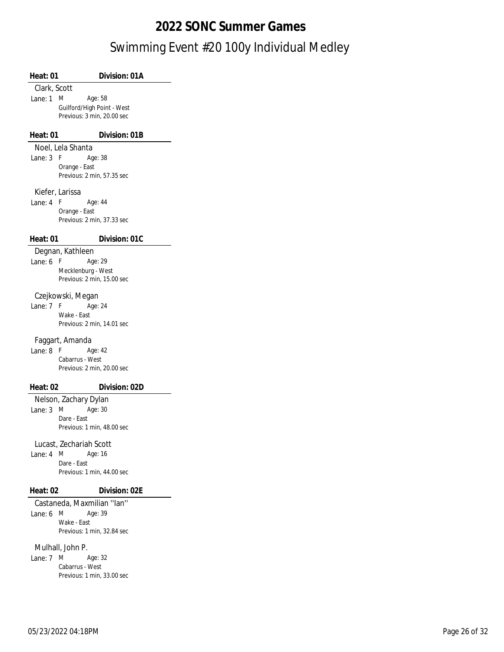### Swimming Event #20 100y Individual Medley **2022 SONC Summer Games**

| Heat: 01          | Division: 01A                                    |  |  |
|-------------------|--------------------------------------------------|--|--|
| Clark, Scott      |                                                  |  |  |
| Lane: 1 M         | Age: 58                                          |  |  |
|                   | Guilford/High Point - West                       |  |  |
|                   | Previous: 3 min, 20.00 sec                       |  |  |
|                   |                                                  |  |  |
| Heat: 01          | Division: 01B                                    |  |  |
|                   | Noel, Lela Shanta                                |  |  |
| Lane: 3           | F<br>Age: 38                                     |  |  |
|                   | Orange - East                                    |  |  |
|                   | Previous: 2 min, 57.35 sec                       |  |  |
|                   | Kiefer, Larissa                                  |  |  |
| Lane: 4 F         | Age: 44                                          |  |  |
|                   | Orange - East                                    |  |  |
|                   | Previous: 2 min, 37.33 sec                       |  |  |
|                   |                                                  |  |  |
| Heat: 01          | Division: 01C                                    |  |  |
|                   | Degnan, Kathleen                                 |  |  |
| Lane: 6           | F<br>Age: 29                                     |  |  |
|                   | Mecklenburg - West<br>Previous: 2 min, 15.00 sec |  |  |
|                   |                                                  |  |  |
| Czejkowski, Megan |                                                  |  |  |
| Lane: 7           | F<br>Age: 24                                     |  |  |
|                   | Wake - East                                      |  |  |
|                   | Previous: 2 min, 14.01 sec                       |  |  |
| Faggart, Amanda   |                                                  |  |  |
| Lane: 8           | F<br>Age: 42                                     |  |  |
|                   | Cabarrus - West                                  |  |  |
|                   | Previous: 2 min, 20.00 sec                       |  |  |
|                   |                                                  |  |  |
| Heat: 02          | Division: 02D                                    |  |  |
|                   | Nelson, Zachary Dylan                            |  |  |
| Lane: 3           | Age: 30<br>M                                     |  |  |
|                   | Dare - East<br>Previous: 1 min, 48.00 sec        |  |  |
|                   |                                                  |  |  |
|                   | Lucast, Zechariah Scott                          |  |  |
| Lane: 4           | M<br>Age: 16                                     |  |  |
|                   | Dare - East                                      |  |  |
|                   | Previous: 1 min, 44.00 sec                       |  |  |
| Heat: 02          | Division: 02E                                    |  |  |
|                   |                                                  |  |  |
|                   | Castaneda, Maxmilian "lan"                       |  |  |
| Lane: 6           | Μ<br>Age: 39<br>Wake - East                      |  |  |
|                   | Previous: 1 min, 32.84 sec                       |  |  |
|                   |                                                  |  |  |
|                   | Mulhall, John P.                                 |  |  |
| Lane: 7           | M<br>Age: 32                                     |  |  |
|                   | Cabarrus - West<br>Previous: 1 min, 33.00 sec    |  |  |
|                   |                                                  |  |  |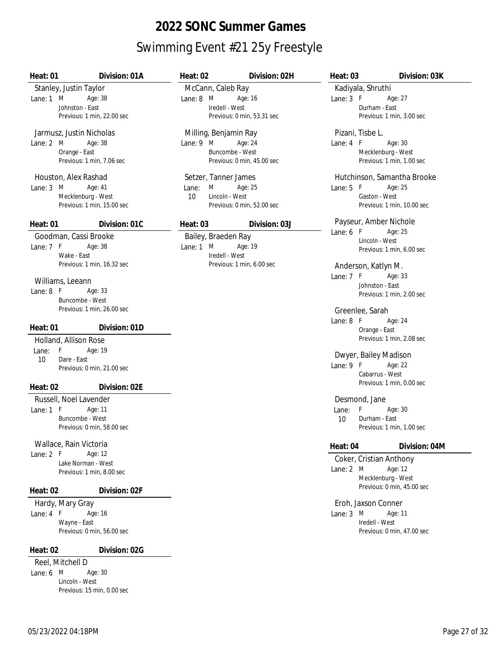| Heat: 01       | Division: 01A                                   | Heat: 02              | Division: 02H                               | Heat: 03    | Division: 03K                  |  |
|----------------|-------------------------------------------------|-----------------------|---------------------------------------------|-------------|--------------------------------|--|
|                | Stanley, Justin Taylor                          | McCann, Caleb Ray     |                                             |             | Kadiyala, Shruthi              |  |
| Lane: $1 \, M$ | Age: 38                                         | Lane: $8 \, M$        | Age: 16                                     | Lane: $3 F$ | Age: 27                        |  |
|                | Johnston - East                                 |                       | Iredell - West                              |             | Durham - East                  |  |
|                | Previous: 1 min, 22.00 sec                      |                       | Previous: 0 min, 53.31 sec                  |             | Previous: 1 min, 3.00 sec      |  |
|                | Jarmusz, Justin Nicholas                        | Milling, Benjamin Ray |                                             |             | Pizani, Tisbe L.               |  |
| Lane: $2 \, M$ | Age: 38                                         | Lane: 9 M             | Age: 24                                     | Lane: $4 F$ | Age: 30                        |  |
|                | Orange - East                                   |                       | Buncombe - West                             |             | Mecklenburg - West             |  |
|                | Previous: 1 min, 7.06 sec                       |                       | Previous: 0 min, 45.00 sec                  |             | Previous: 1 min, 1.00 sec      |  |
|                | Houston, Alex Rashad                            | Setzer, Tanner James  |                                             |             | Hutchinson, Samantha Brooke    |  |
| Lane: $3 \, M$ | Age: 41                                         | M<br>Lane:            | Age: 25                                     | Lane: $5 F$ | Age: 25                        |  |
|                | Mecklenburg - West                              | 10                    | Lincoln - West                              |             | Gaston - West                  |  |
|                | Previous: 1 min, 15.00 sec                      |                       | Previous: 0 min, 52.00 sec                  |             | Previous: 1 min, 10.00 sec     |  |
| Heat: $01$     | Division: 01C                                   | Heat: $03$            | Division: 03J                               |             | Payseur, Amber Nichole         |  |
|                |                                                 |                       |                                             | Lane: $6$ F | Age: 25                        |  |
|                | Goodman, Cassi Brooke                           | Bailey, Braeden Ray   |                                             |             | Lincoln - West                 |  |
| Lane: $7 F$    | Age: 38                                         | Lane: $1 \, M$        | Age: 19                                     |             | Previous: 1 min, 6.00 sec      |  |
|                | Wake - East<br>Previous: 1 min, 16.32 sec       |                       | Iredell - West<br>Previous: 1 min, 6.00 sec |             |                                |  |
|                |                                                 |                       |                                             |             | Anderson, Katlyn M.            |  |
|                | Williams, Leeann                                |                       |                                             | Lane: $7 F$ | Age: 33<br>Johnston - East     |  |
|                | Lane: $8 \tF$ Age: 33                           |                       |                                             |             | Previous: 1 min, 2.00 sec      |  |
|                | Buncombe - West                                 |                       |                                             |             |                                |  |
|                | Previous: 1 min, 26.00 sec                      |                       |                                             |             | Greenlee, Sarah                |  |
|                |                                                 |                       |                                             | Lane: $8$ F | Age: 24                        |  |
| Heat: 01       | Division: 01D                                   |                       |                                             |             | Orange - East                  |  |
|                | Holland, Allison Rose                           |                       |                                             |             | Previous: 1 min, 2.08 sec      |  |
|                | Lane: F<br>Age: 19                              |                       |                                             |             | Dwyer, Bailey Madison          |  |
| 10             | Dare - East                                     |                       |                                             | Lane: $9 F$ | Age: 22                        |  |
|                | Previous: 0 min, 21.00 sec                      |                       |                                             |             | Cabarrus - West                |  |
| Heat: 02       | Division: 02E                                   |                       |                                             |             | Previous: 1 min, 0.00 sec      |  |
|                |                                                 |                       |                                             |             |                                |  |
|                | Russell, Noel Lavender                          |                       |                                             |             | Desmond, Jane                  |  |
| Lane: $1 F$    | Age: 11<br>Buncombe - West                      |                       |                                             | Lane:<br>10 | F.<br>Age: 30<br>Durham - East |  |
|                | Previous: 0 min, 58.00 sec                      |                       |                                             |             | Previous: 1 min, 1.00 sec      |  |
|                |                                                 |                       |                                             |             |                                |  |
|                | Wallace, Rain Victoria                          |                       |                                             | Heat: 04    | Division: 04M                  |  |
| Lane: $2$ F    | Age: 12                                         |                       |                                             |             | Coker, Cristian Anthony        |  |
|                | Lake Norman - West<br>Previous: 1 min, 8.00 sec |                       |                                             | Lane: 2 M   | Age: 12                        |  |
|                |                                                 |                       |                                             |             | Mecklenburg - West             |  |
| Heat: 02       | Division: 02F                                   |                       |                                             |             | Previous: 0 min, 45.00 sec     |  |
|                | Hardy, Mary Gray                                |                       |                                             |             | Eroh, Jaxson Conner            |  |
| Lane: $4 F$    | Age: 16                                         |                       |                                             | Lane: 3     | M<br>Age: 11                   |  |
|                | Wayne - East                                    |                       |                                             |             | Iredell - West                 |  |
|                | Previous: 0 min, 56.00 sec                      |                       |                                             |             | Previous: 0 min, 47.00 sec     |  |
| Heat: $02$     | Division: 02G                                   |                       |                                             |             |                                |  |
|                | Reel, Mitchell D                                |                       |                                             |             |                                |  |
| Lane: 6 M      | Age: 30                                         |                       |                                             |             |                                |  |
|                | Lincoln - West                                  |                       |                                             |             |                                |  |
|                | Previous: 15 min, 0.00 sec                      |                       |                                             |             |                                |  |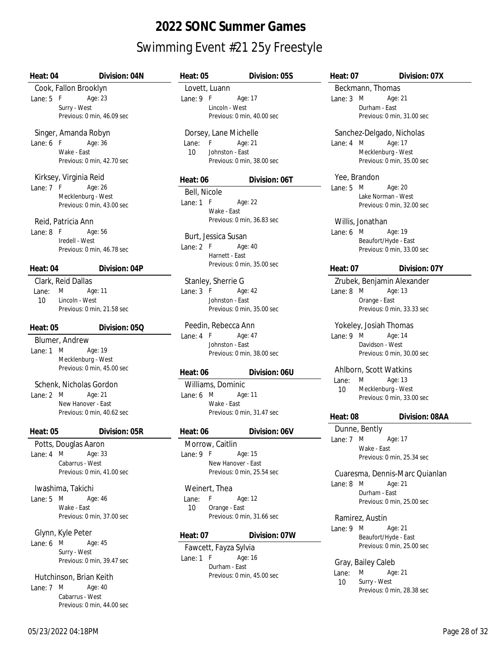| Heat: 04<br>Division: 04N                                                                                                                                                                            | Heat: $05$                                                                                                       | Division: 05S                                                       | Heat: 07                                         | Division: 07X                                                                                                                                    |
|------------------------------------------------------------------------------------------------------------------------------------------------------------------------------------------------------|------------------------------------------------------------------------------------------------------------------|---------------------------------------------------------------------|--------------------------------------------------|--------------------------------------------------------------------------------------------------------------------------------------------------|
| Cook, Fallon Brooklyn<br>Lane: $5 F$<br>Age: 23<br>Surry - West<br>Previous: 0 min, 46.09 sec                                                                                                        | Lovett, Luann<br>Lane: $9 F$<br>Lincoln - West                                                                   | Age: 17<br>Previous: 0 min, 40.00 sec                               | Lane: $3 \, M$                                   | Beckmann, Thomas<br>Age: 21<br>Durham - East<br>Previous: 0 min, 31.00 sec                                                                       |
| Singer, Amanda Robyn<br>Lane: $6$ F<br>Age: 36<br>Wake - East<br>Previous: 0 min, 42.70 sec                                                                                                          | Dorsey, Lane Michelle<br>Lane: F<br>10<br>Johnston - East                                                        | Age: 21<br>Previous: 0 min, 38.00 sec                               | Lane: $4 \, M$                                   | Sanchez-Delgado, Nicholas<br>Age: 17<br>Mecklenburg - West<br>Previous: 0 min, 35.00 sec                                                         |
| Kirksey, Virginia Reid<br>Lane: $7 F$<br>Age: 26<br>Mecklenburg - West<br>Previous: 0 min, 43.00 sec<br>Reid, Patricia Ann<br>Lane: $8$ F<br>Age: 56<br>Iredell - West<br>Previous: 0 min, 46.78 sec | Heat: $06$<br>Bell, Nicole<br>Lane: $1$ F<br>Wake - East<br>Burt, Jessica Susan<br>Lane: $2$ F<br>Harnett - East | Division: 06T<br>Age: 22<br>Previous: 0 min, 36.83 sec<br>Age: 40   | Yee, Brandon<br>Lane: $5 \, M$<br>Lane: $6 \, M$ | Age: 20<br>Lake Norman - West<br>Previous: 0 min, 32.00 sec<br>Willis, Jonathan<br>Age: 19<br>Beaufort/Hyde - East<br>Previous: 0 min, 33.00 sec |
| Heat: 04<br>Division: 04P<br>Clark, Reid Dallas<br>M<br>Age: 11<br>Lane:<br>Lincoln - West<br>10<br>Previous: 0 min, 21.58 sec                                                                       | Stanley, Sherrie G<br>Lane: $3 F$<br>Johnston - East                                                             | Previous: 0 min, 35.00 sec<br>Age: 42<br>Previous: 0 min, 35.00 sec | Heat: $07$<br>Lane: $8 \, M$                     | Division: 07Y<br>Zrubek, Benjamin Alexander<br>Age: 13<br>Orange - East<br>Previous: 0 min, 33.33 sec                                            |
| Heat: 05<br>Division: 05Q<br>Blumer, Andrew<br>Lane: $1 \, M$<br>Age: 19<br>Mecklenburg - West<br>Previous: 0 min, 45.00 sec                                                                         | Peedin, Rebecca Ann<br>Lane: $4 F$<br>Johnston - East<br>Heat: 06                                                | Age: 47<br>Previous: 0 min, 38.00 sec<br>Division: 06U              | Lane: 9 M                                        | Yokeley, Josiah Thomas<br>Age: 14<br>Davidson - West<br>Previous: 0 min, 30.00 sec<br>Ahlborn, Scott Watkins                                     |
| Schenk, Nicholas Gordon<br>Lane: 2 M<br>Age: 21<br>New Hanover - East<br>Previous: 0 min, 40.62 sec                                                                                                  | Williams, Dominic<br>Lane: $6 \, M$<br>Wake - East                                                               | Age: 11<br>Previous: 0 min, 31.47 sec                               | Lane:<br>10<br>Heat: 08                          | Age: 13<br>M<br>Mecklenburg - West<br>Previous: 0 min, 33.00 sec<br>Division: 08AA                                                               |
| Division: 05R<br>Heat: 05                                                                                                                                                                            | Heat: 06                                                                                                         | Division: 06V                                                       | Dunne, Bently                                    |                                                                                                                                                  |
| Potts, Douglas Aaron<br>Lane: 4 M<br>Age: 33<br>Cabarrus - West<br>Previous: 0 min, 41.00 sec                                                                                                        | Morrow, Caitlin<br>Lane: 9 F                                                                                     | Age: 15<br>New Hanover - East<br>Previous: 0 min, 25.54 sec         |                                                  | Lane: 7 M Age: 17<br>Wake - East<br>Previous: 0 min, 25.34 sec<br>Cuaresma, Dennis-Marc Quianlan                                                 |
| Iwashima, Takichi<br>Lane: $5 \, M$<br>Age: 46<br>Wake - East                                                                                                                                        | Weinert, Thea<br>F<br>Lane:<br>10 <sup>°</sup><br>Orange - East                                                  | Age: 12                                                             | Lane: 8 M                                        | Age: 21<br>Durham - East<br>Previous: 0 min, 25.00 sec                                                                                           |
| Previous: 0 min, 37.00 sec<br>Glynn, Kyle Peter<br>Lane: 6 M<br>Age: 45<br>Surry - West                                                                                                              | Heat: 07<br>Fawcett, Fayza Sylvia                                                                                | Previous: 0 min, 31.66 sec<br>Division: 07W                         | Lane: $9 \, M$                                   | Ramirez, Austin<br>Age: 21<br>Beaufort/Hyde - East<br>Previous: 0 min, 25.00 sec                                                                 |
| Previous: 0 min, 39.47 sec<br>Hutchinson, Brian Keith<br>Lane: 7 M<br>Age: 40<br>Cabarrus - West<br>Previous: 0 min, 44.00 sec                                                                       | Lane: $1$ F<br>Durham - East                                                                                     | Age: 16<br>Previous: 0 min, 45.00 sec                               | Lane:<br>10                                      | Gray, Bailey Caleb<br>M<br>Age: 21<br>Surry - West<br>Previous: 0 min, 28.38 sec                                                                 |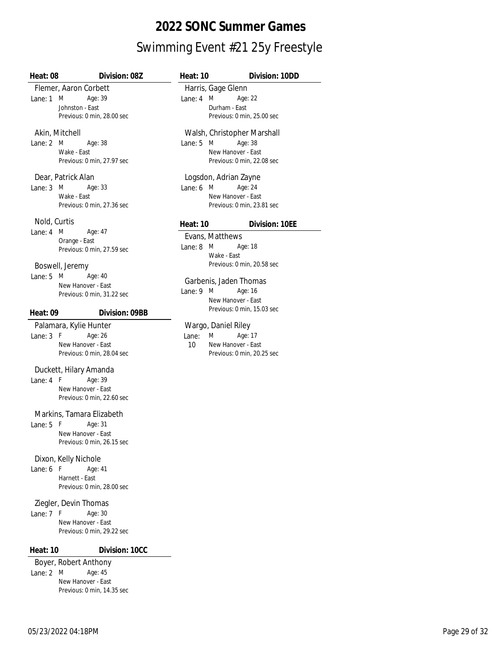| Heat: 08              |                        | Division: 08Z              | Heat: 10           |                     | Division: 10DD                |  |
|-----------------------|------------------------|----------------------------|--------------------|---------------------|-------------------------------|--|
| Flemer, Aaron Corbett |                        |                            | Harris, Gage Glenn |                     |                               |  |
| Lane: 1               | M<br>Johnston - East   | Age: 39                    | Lane: 4            | M<br>Durham - East  | Age: 22                       |  |
|                       |                        | Previous: 0 min, 28.00 sec |                    |                     | Previous: 0 min, 25.00 sec    |  |
|                       | Akin, Mitchell         |                            |                    |                     | Walsh, Christopher Marshall   |  |
| Lane: 2               | M                      | Age: 38                    | Lane: 5            | M                   | Age: 38                       |  |
|                       | Wake - East            |                            |                    |                     | New Hanover - East            |  |
|                       |                        | Previous: 0 min, 27.97 sec |                    |                     | Previous: 0 min, 22.08 sec    |  |
|                       | Dear, Patrick Alan     |                            |                    |                     | Logsdon, Adrian Zayne         |  |
| Lane: $3 \, M$        |                        | Age: 33                    | Lane: $6 \, M$     |                     | Age: 24                       |  |
|                       | Wake - East            |                            |                    |                     | New Hanover - East            |  |
|                       |                        | Previous: 0 min, 27.36 sec |                    |                     | Previous: 0 min. 23.81 sec    |  |
| Nold, Curtis          |                        |                            | Heat: $10$         |                     | Division: 10EE                |  |
| Lane: $4 \, M$        |                        | Age: 47                    |                    | Evans, Matthews     |                               |  |
|                       | Orange - East          |                            | Lane: $8 \, M$     |                     | Age: 18                       |  |
|                       |                        | Previous: 0 min, 27.59 sec |                    | Wake - East         |                               |  |
|                       | Boswell, Jeremy        |                            |                    |                     | Previous: 0 min, 20.58 sec    |  |
| Lane: 5               | M                      | Age: 40                    |                    |                     |                               |  |
|                       |                        | New Hanover - East         |                    | M                   | Garbenis, Jaden Thomas        |  |
|                       |                        | Previous: 0 min, 31.22 sec | Lane: 9            |                     | Age: 16<br>New Hanover - East |  |
|                       |                        |                            |                    |                     | Previous: 0 min, 15.03 sec    |  |
| Heat: 09              |                        | Division: 09BB             |                    |                     |                               |  |
|                       | Palamara, Kylie Hunter |                            |                    | Wargo, Daniel Riley |                               |  |
| Lane: $3$             | - F                    | Age: 26                    | Lane:              | M                   | Age: 17                       |  |
|                       |                        | New Hanover - East         | 10 <sup>°</sup>    |                     | New Hanover - East            |  |
|                       |                        | Previous: 0 min, 28.04 sec |                    |                     | Previous: 0 min, 20.25 sec    |  |
|                       |                        | Duckett, Hilary Amanda     |                    |                     |                               |  |
| Lane: 4               | F                      | Age: 39                    |                    |                     |                               |  |
|                       |                        | New Hanover - East         |                    |                     |                               |  |
|                       |                        | Previous: 0 min, 22.60 sec |                    |                     |                               |  |
|                       |                        | Markins, Tamara Elizabeth  |                    |                     |                               |  |
| Lane: 5               | -F                     | Age: 31                    |                    |                     |                               |  |
|                       |                        | New Hanover - East         |                    |                     |                               |  |
|                       |                        | Previous: 0 min, 26.15 sec |                    |                     |                               |  |

#### Dixon, Kelly Nichole

Lane: 6 F Age: 41 Harnett - East Previous: 0 min, 28.00 sec

#### Ziegler, Devin Thomas

Lane: 7 Age: 30 F New Hanover - East Previous: 0 min, 29.22 sec

#### **Heat: 10 Division: 10CC**

Boyer, Robert Anthony

Lane: 2 Age: 45 M New Hanover - East Previous: 0 min, 14.35 sec

| $\sim$ | $\sim$ |
|--------|--------|
|        |        |
|        |        |
|        |        |
|        |        |
|        |        |
|        |        |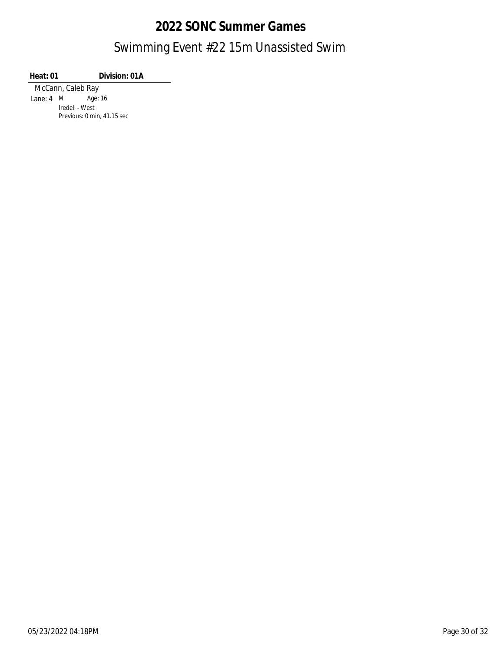### Swimming Event #22 15m Unassisted Swim **2022 SONC Summer Games**

**Heat: 01 Division: 01A**

McCann, Caleb Ray Lane: 4 Age: 16 M Iredell - West Previous: 0 min, 41.15 sec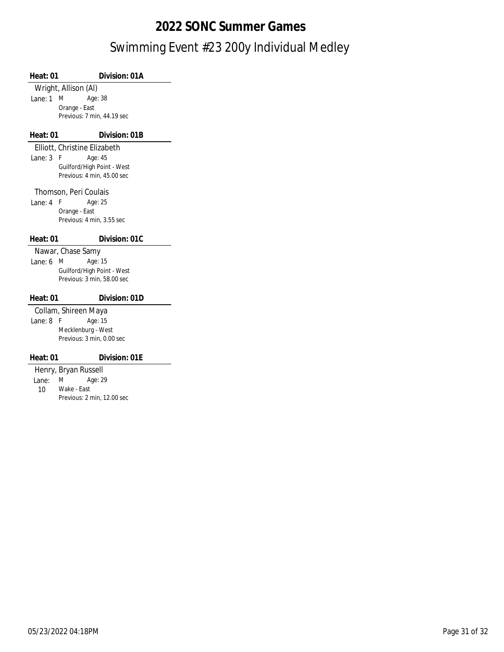### Swimming Event #23 200y Individual Medley **2022 SONC Summer Games**

| Heat: 01    | Division: 01A                |
|-------------|------------------------------|
|             | Wright, Allison (Al)         |
| Lane: 1     | M<br>Age: 38                 |
|             | Orange - East                |
|             | Previous: 7 min, 44.19 sec   |
| Heat: 01    | Division: 01B                |
|             | Elliott, Christine Elizabeth |
| Lane: $3 F$ | Age: 45                      |
|             | Guilford/High Point - West   |
|             | Previous: 4 min, 45.00 sec   |
|             | Thomson, Peri Coulais        |
| Lane: 4     | Age: 25<br>F                 |
|             | Orange - East                |
|             | Previous: 4 min, 3.55 sec    |
| Heat: 01    | Division: 01C                |
|             | Nawar, Chase Samy            |
| Lane: 6     | Age: 15<br>M                 |
|             | Guilford/High Point - West   |
|             | Previous: 3 min, 58.00 sec   |
| Heat: 01    | Division: 01D                |
|             | Collam, Shireen Maya         |
| Lane: 8     | Age: 15<br>F                 |
|             | Mecklenburg - West           |
|             | Previous: 3 min, 0.00 sec    |
| Heat: 01    | Division: 01E                |
|             | Henry, Bryan Russell         |

Lane: Age: 29 M 10 Wake - East Previous: 2 min, 12.00 sec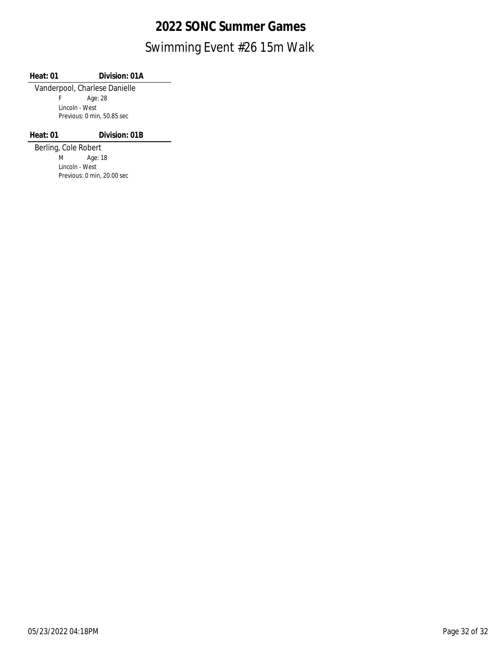### Swimming Event #26 15m Walk **2022 SONC Summer Games**

**Heat: 01 Division: 01A**

Vanderpool, Charlese Danielle Age: 28 Lincoln - West Previous: 0 min, 50.85 sec F

**Heat: 01 Division: 01B**

Previous: 0 min, 20.00 sec

Berling, Cole Robert Age: 18 Lincoln - West M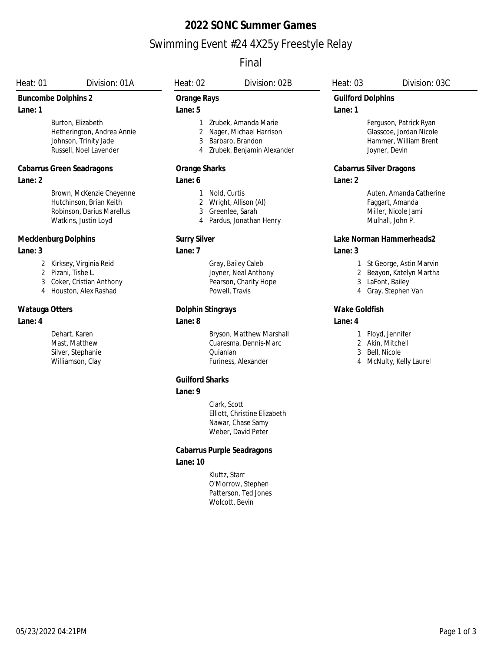### **2022 SONC Summer Games** Swimming Event #24 4X25y Freestyle Relay

### Final

| Heat: 01                              | Division: 01A                                                                                            | Heat: 02                          |                                                                                       | Division: 02B                                     | Heat: 03      | Division: 03C                                                                                |
|---------------------------------------|----------------------------------------------------------------------------------------------------------|-----------------------------------|---------------------------------------------------------------------------------------|---------------------------------------------------|---------------|----------------------------------------------------------------------------------------------|
| <b>Buncombe Dolphins 2</b><br>Lane: 1 |                                                                                                          | Orange Rays<br>Lane: 5            |                                                                                       |                                                   | Lane: 1       | <b>Guilford Dolphins</b>                                                                     |
|                                       | Burton, Elizabeth<br>Hetherington, Andrea Annie<br>Johnson, Trinity Jade<br>Russell, Noel Lavender       | 1<br>3                            | Zrubek, Amanda Marie<br>2 Nager, Michael Harrison<br>Barbaro, Brandon                 | 4 Zrubek, Benjamin Alexander                      |               | Ferguson, Patrick Ryan<br>Glasscoe, Jordan Nicole<br>Hammer, William Brent<br>Joyner, Devin  |
|                                       | Cabarrus Green Seadragons                                                                                | Orange Sharks                     |                                                                                       |                                                   |               | <b>Cabarrus Silver Dragons</b>                                                               |
| Lane: 2                               |                                                                                                          | Lane: 6                           |                                                                                       |                                                   | Lane: 2       |                                                                                              |
|                                       | Brown, McKenzie Cheyenne<br>Hutchinson, Brian Keith<br>Robinson, Darius Marellus<br>Watkins, Justin Loyd | 2<br>3<br>4                       | Nold, Curtis<br>Wright, Allison (Al)<br>Greenlee, Sarah<br>Pardus, Jonathan Henry     |                                                   |               | Auten, Amanda Catherine<br>Faggart, Amanda<br>Miller, Nicole Jami<br>Mulhall, John P.        |
| Mecklenburg Dolphins<br>Lane: 3       |                                                                                                          | <b>Surry Silver</b><br>Lane: 7    |                                                                                       |                                                   | Lane: 3       | Lake Norman Hammerheads2                                                                     |
| 2<br>3<br>4                           | Kirksey, Virginia Reid<br>2 Pizani, Tisbe L.<br>Coker, Cristian Anthony<br>Houston, Alex Rashad          |                                   | Gray, Bailey Caleb<br>Joyner, Neal Anthony<br>Pearson, Charity Hope<br>Powell, Travis |                                                   | 3<br>4        | 1 St George, Astin Marvin<br>2 Beayon, Katelyn Martha<br>LaFont, Bailey<br>Gray, Stephen Van |
| Watauga Otters                        |                                                                                                          |                                   | Dolphin Stingrays                                                                     |                                                   | Wake Goldfish |                                                                                              |
| Lane: 4                               |                                                                                                          | Lane: 8                           |                                                                                       |                                                   | Lane: 4       |                                                                                              |
|                                       | Dehart, Karen<br>Mast, Matthew<br>Silver, Stephanie<br>Williamson, Clay                                  |                                   | Quianlan<br>Furiness, Alexander                                                       | Bryson, Matthew Marshall<br>Cuaresma, Dennis-Marc | 3<br>4        | Floyd, Jennifer<br>2 Akin, Mitchell<br>Bell, Nicole<br>McNulty, Kelly Laurel                 |
|                                       |                                                                                                          | <b>Guilford Sharks</b><br>Lane: 9 |                                                                                       |                                                   |               |                                                                                              |
|                                       |                                                                                                          |                                   | Clark, Scott<br>Nawar, Chase Samy<br>Weber, David Peter                               | Elliott, Christine Elizabeth                      |               |                                                                                              |
|                                       |                                                                                                          | Lane: 10                          | Cabarrus Purple Seadragons                                                            |                                                   |               |                                                                                              |
|                                       |                                                                                                          |                                   | Kluttz, Starr<br>O'Morrow, Stephen<br>Patterson, Ted Jones<br>Wolcott, Bevin          |                                                   |               |                                                                                              |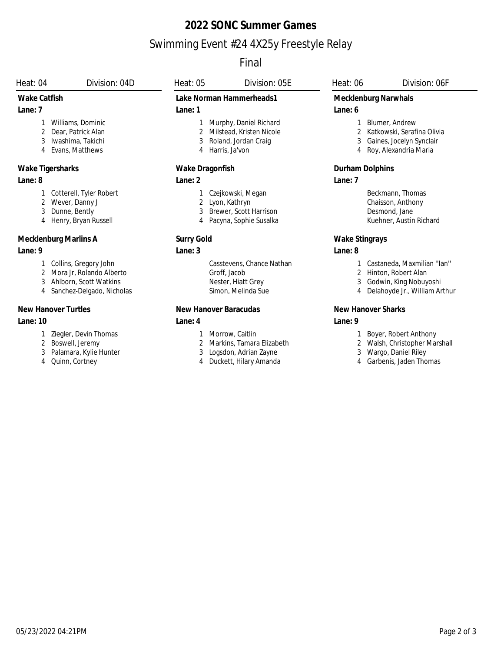### **2022 SONC Summer Games** Swimming Event #24 4X25y Freestyle Relay

### Final

| Heat: 04            | Division: 04D                                                                                            | <b>Heat: 05</b>       | Division: 05E                                                                                   | Heat: 06              | Division: 06F                                                                                                |
|---------------------|----------------------------------------------------------------------------------------------------------|-----------------------|-------------------------------------------------------------------------------------------------|-----------------------|--------------------------------------------------------------------------------------------------------------|
| <b>Wake Catfish</b> |                                                                                                          |                       | Lake Norman Hammerheads1                                                                        |                       | Mecklenburg Narwhals                                                                                         |
| Lane: 7             |                                                                                                          | Lane: 1               |                                                                                                 | Lane: 6               |                                                                                                              |
| 3<br>4              | Williams, Dominic<br>Dear, Patrick Alan<br>Iwashima, Takichi<br>Evans, Matthews                          | 3<br>4                | Murphy, Daniel Richard<br>Milstead, Kristen Nicole<br>Roland, Jordan Craig<br>Harris, Ja'von    | 3<br>4                | Blumer, Andrew<br>Katkowski, Serafina Olivia<br>Gaines, Jocelyn Synclair<br>Roy, Alexandria Maria            |
| Wake Tigersharks    |                                                                                                          | Wake Dragonfish       |                                                                                                 | Durham Dolphins       |                                                                                                              |
| Lane: 8             |                                                                                                          | Lane: 2               |                                                                                                 | Lane: 7               |                                                                                                              |
| 2<br>3<br>4         | Cotterell, Tyler Robert<br>Wever, Danny J<br>Dunne, Bently<br>Henry, Bryan Russell                       | 2<br>3                | Czejkowski, Megan<br>Lyon, Kathryn<br>Brewer, Scott Harrison<br>Pacyna, Sophie Susalka          |                       | Beckmann, Thomas<br>Chaisson, Anthony<br>Desmond, Jane<br>Kuehner, Austin Richard                            |
|                     | Mecklenburg Marlins A                                                                                    | Surry Gold            |                                                                                                 | <b>Wake Stingrays</b> |                                                                                                              |
| Lane: 9             |                                                                                                          | Lane: 3               |                                                                                                 | Lane: 8               |                                                                                                              |
| 2<br>3<br>4         | Collins, Gregory John<br>Mora Jr, Rolando Alberto<br>Ahlborn, Scott Watkins<br>Sanchez-Delgado, Nicholas |                       | Casstevens, Chance Nathan<br>Groff, Jacob<br>Nester, Hiatt Grey<br>Simon, Melinda Sue           | 2<br>3<br>4           | Castaneda, Maxmilian "lan"<br>Hinton, Robert Alan<br>Godwin, King Nobuyoshi<br>Delahoyde Jr., William Arthur |
|                     | <b>New Hanover Turtles</b>                                                                               | New Hanover Baracudas |                                                                                                 |                       | New Hanover Sharks                                                                                           |
| Lane: 10            |                                                                                                          | Lane: 4               |                                                                                                 | Lane: 9               |                                                                                                              |
| 3<br>4              | Ziegler, Devin Thomas<br>Boswell, Jeremy<br>Palamara, Kylie Hunter<br>Quinn, Cortney                     | 2<br>3<br>4           | Morrow, Caitlin<br>Markins, Tamara Elizabeth<br>Logsdon, Adrian Zayne<br>Duckett, Hilary Amanda | 3                     | Boyer, Robert Anthony<br>Walsh, Christopher Marshall<br>Wargo, Daniel Riley<br>Garbenis, Jaden Thomas        |